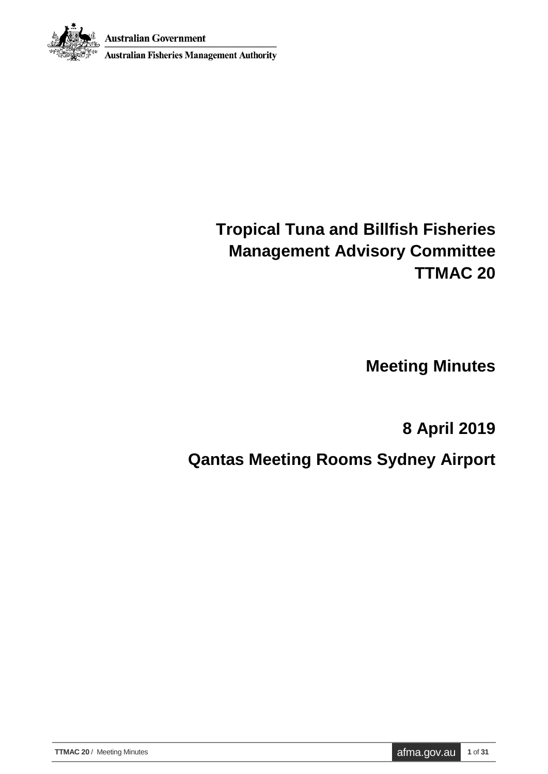



**Australian Fisheries Management Authority** 

# **Tropical Tuna and Billfish Fisheries Management Advisory Committee TTMAC 20**

**Meeting Minutes**

**8 April 2019**

**Qantas Meeting Rooms Sydney Airport**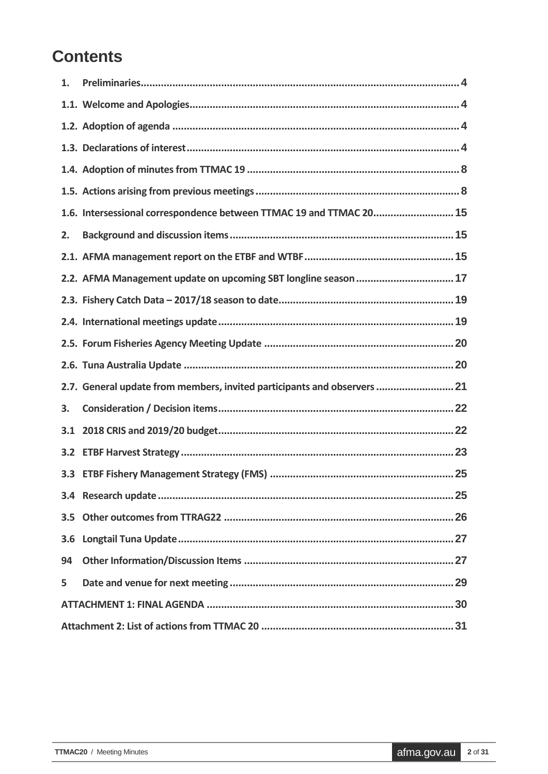# **Contents**

| $\mathbf{1}$ . |                                                                          |
|----------------|--------------------------------------------------------------------------|
|                |                                                                          |
|                |                                                                          |
|                |                                                                          |
|                |                                                                          |
|                |                                                                          |
|                | 1.6. Intersessional correspondence between TTMAC 19 and TTMAC 20 15      |
| 2.             |                                                                          |
|                |                                                                          |
|                | 2.2. AFMA Management update on upcoming SBT longline season  17          |
|                |                                                                          |
|                |                                                                          |
|                |                                                                          |
|                |                                                                          |
|                |                                                                          |
|                | 2.7. General update from members, invited participants and observers  21 |
| 3.             |                                                                          |
|                |                                                                          |
|                |                                                                          |
|                |                                                                          |
|                |                                                                          |
| 3.5            |                                                                          |
| 3.6            |                                                                          |
| 94             |                                                                          |
| 5              |                                                                          |
|                |                                                                          |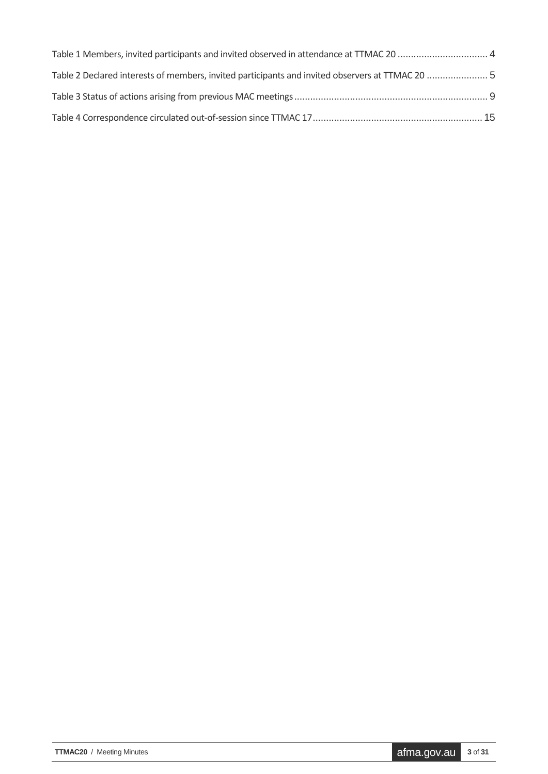| Table 1 Members, invited participants and invited observed in attendance at TTMAC 20  4         |  |
|-------------------------------------------------------------------------------------------------|--|
| Table 2 Declared interests of members, invited participants and invited observers at TTMAC 20 5 |  |
|                                                                                                 |  |
|                                                                                                 |  |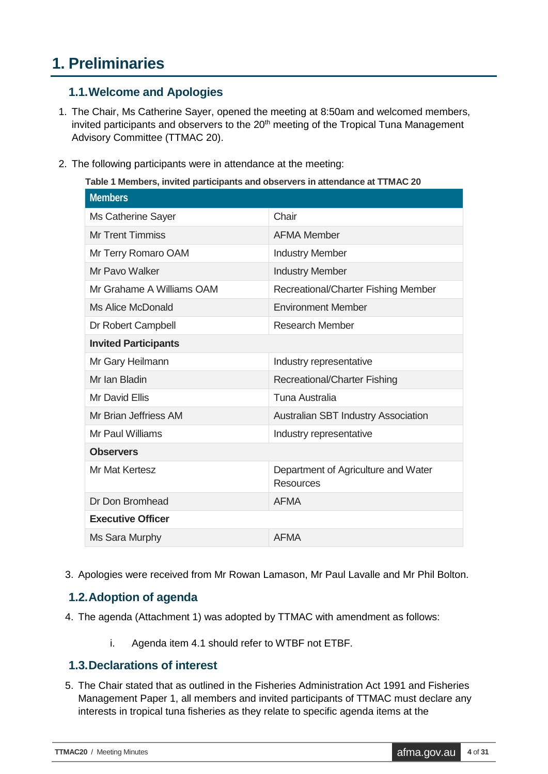## <span id="page-3-0"></span>**1. Preliminaries**

#### <span id="page-3-1"></span>**1.1.Welcome and Apologies**

- 1. The Chair, Ms Catherine Sayer, opened the meeting at 8:50am and welcomed members, invited participants and observers to the  $20<sup>th</sup>$  meeting of the Tropical Tuna Management Advisory Committee (TTMAC 20).
- <span id="page-3-4"></span>2. The following participants were in attendance at the meeting:

**Table 1 Members, invited participants and observers in attendance at TTMAC 20**

| <b>Members</b>              |                                                         |
|-----------------------------|---------------------------------------------------------|
| Ms Catherine Sayer          | Chair                                                   |
| <b>Mr Trent Timmiss</b>     | <b>AFMA Member</b>                                      |
| Mr Terry Romaro OAM         | <b>Industry Member</b>                                  |
| Mr Pavo Walker              | <b>Industry Member</b>                                  |
| Mr Grahame A Williams OAM   | Recreational/Charter Fishing Member                     |
| <b>Ms Alice McDonald</b>    | <b>Environment Member</b>                               |
| Dr Robert Campbell          | <b>Research Member</b>                                  |
| <b>Invited Participants</b> |                                                         |
| Mr Gary Heilmann            | Industry representative                                 |
| Mr Ian Bladin               | <b>Recreational/Charter Fishing</b>                     |
| <b>Mr David Ellis</b>       | Tuna Australia                                          |
| Mr Brian Jeffriess AM       | <b>Australian SBT Industry Association</b>              |
| Mr Paul Williams            | Industry representative                                 |
| <b>Observers</b>            |                                                         |
| Mr Mat Kertesz              | Department of Agriculture and Water<br><b>Resources</b> |
| Dr Don Bromhead             | <b>AFMA</b>                                             |
| <b>Executive Officer</b>    |                                                         |
| Ms Sara Murphy              | <b>AFMA</b>                                             |

3. Apologies were received from Mr Rowan Lamason, Mr Paul Lavalle and Mr Phil Bolton.

## <span id="page-3-2"></span>**1.2.Adoption of agenda**

- 4. The agenda (Attachment 1) was adopted by TTMAC with amendment as follows:
	- i. Agenda item 4.1 should refer to WTBF not ETBF.

#### <span id="page-3-3"></span>**1.3.Declarations of interest**

5. The Chair stated that as outlined in the Fisheries Administration Act 1991 and Fisheries Management Paper 1, all members and invited participants of TTMAC must declare any interests in tropical tuna fisheries as they relate to specific agenda items at the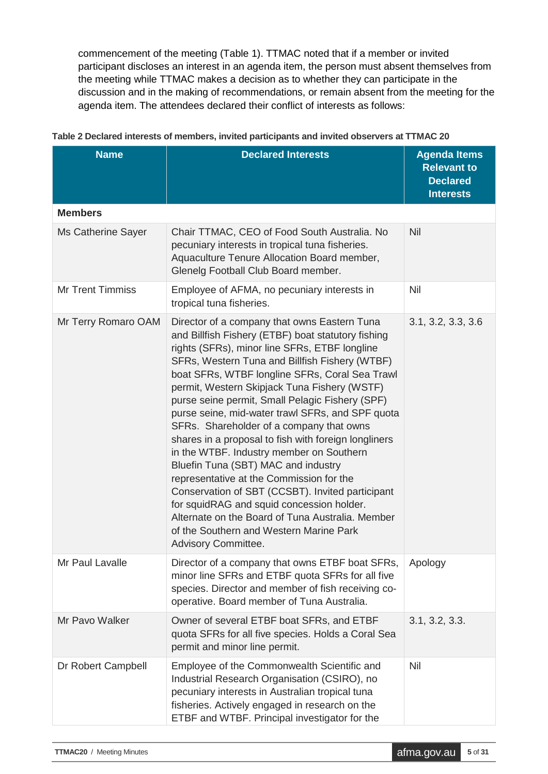commencement of the meeting (Table 1). TTMAC noted that if a member or invited participant discloses an interest in an agenda item, the person must absent themselves from the meeting while TTMAC makes a decision as to whether they can participate in the discussion and in the making of recommendations, or remain absent from the meeting for the agenda item. The attendees declared their conflict of interests as follows:

| <b>Name</b>             | <b>Declared Interests</b>                                                                                                                                                                                                                                                                                                                                                                                                                                                                                                                                                                                                                                                                                                                                                                                                                                                | <b>Agenda Items</b><br><b>Relevant to</b><br><b>Declared</b><br><b>Interests</b> |
|-------------------------|--------------------------------------------------------------------------------------------------------------------------------------------------------------------------------------------------------------------------------------------------------------------------------------------------------------------------------------------------------------------------------------------------------------------------------------------------------------------------------------------------------------------------------------------------------------------------------------------------------------------------------------------------------------------------------------------------------------------------------------------------------------------------------------------------------------------------------------------------------------------------|----------------------------------------------------------------------------------|
| <b>Members</b>          |                                                                                                                                                                                                                                                                                                                                                                                                                                                                                                                                                                                                                                                                                                                                                                                                                                                                          |                                                                                  |
| Ms Catherine Sayer      | Chair TTMAC, CEO of Food South Australia. No<br>pecuniary interests in tropical tuna fisheries.<br>Aquaculture Tenure Allocation Board member,<br>Glenelg Football Club Board member.                                                                                                                                                                                                                                                                                                                                                                                                                                                                                                                                                                                                                                                                                    | <b>Nil</b>                                                                       |
| <b>Mr Trent Timmiss</b> | Employee of AFMA, no pecuniary interests in<br>tropical tuna fisheries.                                                                                                                                                                                                                                                                                                                                                                                                                                                                                                                                                                                                                                                                                                                                                                                                  | <b>Nil</b>                                                                       |
| Mr Terry Romaro OAM     | Director of a company that owns Eastern Tuna<br>and Billfish Fishery (ETBF) boat statutory fishing<br>rights (SFRs), minor line SFRs, ETBF longline<br>SFRs, Western Tuna and Billfish Fishery (WTBF)<br>boat SFRs, WTBF longline SFRs, Coral Sea Trawl<br>permit, Western Skipjack Tuna Fishery (WSTF)<br>purse seine permit, Small Pelagic Fishery (SPF)<br>purse seine, mid-water trawl SFRs, and SPF quota<br>SFRs. Shareholder of a company that owns<br>shares in a proposal to fish with foreign longliners<br>in the WTBF. Industry member on Southern<br>Bluefin Tuna (SBT) MAC and industry<br>representative at the Commission for the<br>Conservation of SBT (CCSBT). Invited participant<br>for squidRAG and squid concession holder.<br>Alternate on the Board of Tuna Australia. Member<br>of the Southern and Western Marine Park<br>Advisory Committee. | 3.1, 3.2, 3.3, 3.6                                                               |
| Mr Paul Lavalle         | Director of a company that owns ETBF boat SFRs,<br>minor line SFRs and ETBF quota SFRs for all five<br>species. Director and member of fish receiving co-<br>operative. Board member of Tuna Australia.                                                                                                                                                                                                                                                                                                                                                                                                                                                                                                                                                                                                                                                                  | Apology                                                                          |
| Mr Pavo Walker          | Owner of several ETBF boat SFRs, and ETBF<br>quota SFRs for all five species. Holds a Coral Sea<br>permit and minor line permit.                                                                                                                                                                                                                                                                                                                                                                                                                                                                                                                                                                                                                                                                                                                                         | 3.1, 3.2, 3.3.                                                                   |
| Dr Robert Campbell      | Employee of the Commonwealth Scientific and<br>Industrial Research Organisation (CSIRO), no<br>pecuniary interests in Australian tropical tuna<br>fisheries. Actively engaged in research on the<br>ETBF and WTBF. Principal investigator for the                                                                                                                                                                                                                                                                                                                                                                                                                                                                                                                                                                                                                        | Nil                                                                              |

#### <span id="page-4-0"></span>**Table 2 Declared interests of members, invited participants and invited observers at TTMAC 20**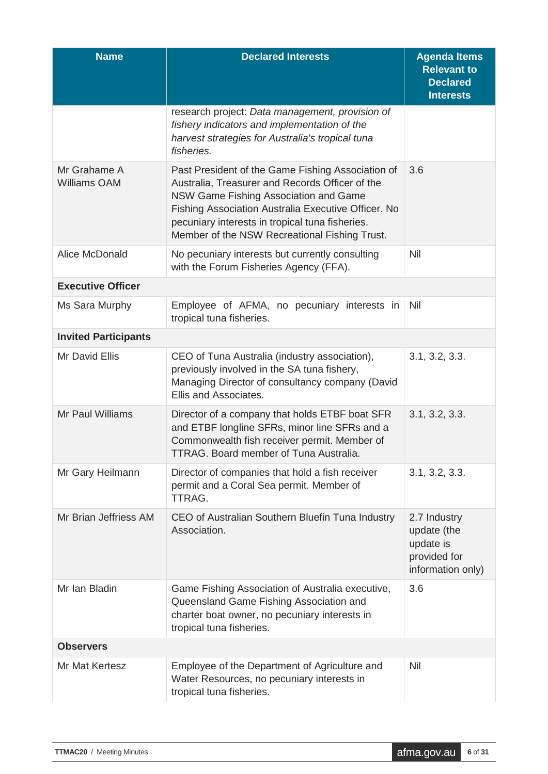| <b>Name</b>                         | <b>Declared Interests</b>                                                                                                                                                                                                                                                                                | <b>Agenda Items</b><br><b>Relevant to</b><br><b>Declared</b><br><b>Interests</b> |
|-------------------------------------|----------------------------------------------------------------------------------------------------------------------------------------------------------------------------------------------------------------------------------------------------------------------------------------------------------|----------------------------------------------------------------------------------|
|                                     | research project: Data management, provision of<br>fishery indicators and implementation of the<br>harvest strategies for Australia's tropical tuna<br>fisheries.                                                                                                                                        |                                                                                  |
| Mr Grahame A<br><b>Williams OAM</b> | Past President of the Game Fishing Association of<br>Australia, Treasurer and Records Officer of the<br>NSW Game Fishing Association and Game<br>Fishing Association Australia Executive Officer. No<br>pecuniary interests in tropical tuna fisheries.<br>Member of the NSW Recreational Fishing Trust. | 3.6                                                                              |
| Alice McDonald                      | No pecuniary interests but currently consulting<br>with the Forum Fisheries Agency (FFA).                                                                                                                                                                                                                | Nil                                                                              |
| <b>Executive Officer</b>            |                                                                                                                                                                                                                                                                                                          |                                                                                  |
| Ms Sara Murphy                      | Employee of AFMA, no pecuniary interests in<br>tropical tuna fisheries.                                                                                                                                                                                                                                  | Nil                                                                              |
| <b>Invited Participants</b>         |                                                                                                                                                                                                                                                                                                          |                                                                                  |
| Mr David Ellis                      | CEO of Tuna Australia (industry association),<br>previously involved in the SA tuna fishery,<br>Managing Director of consultancy company (David<br>Ellis and Associates.                                                                                                                                 | 3.1, 3.2, 3.3.                                                                   |
| Mr Paul Williams                    | Director of a company that holds ETBF boat SFR<br>and ETBF longline SFRs, minor line SFRs and a<br>Commonwealth fish receiver permit. Member of<br><b>TTRAG.</b> Board member of Tuna Australia.                                                                                                         | 3.1, 3.2, 3.3.                                                                   |
| Mr Gary Heilmann                    | Director of companies that hold a fish receiver<br>permit and a Coral Sea permit. Member of<br>TTRAG.                                                                                                                                                                                                    | 3.1, 3.2, 3.3.                                                                   |
| Mr Brian Jeffriess AM               | CEO of Australian Southern Bluefin Tuna Industry<br>Association.                                                                                                                                                                                                                                         | 2.7 Industry<br>update (the<br>update is<br>provided for<br>information only)    |
| Mr Ian Bladin                       | Game Fishing Association of Australia executive,<br>Queensland Game Fishing Association and<br>charter boat owner, no pecuniary interests in<br>tropical tuna fisheries.                                                                                                                                 | 3.6                                                                              |
| <b>Observers</b>                    |                                                                                                                                                                                                                                                                                                          |                                                                                  |
| Mr Mat Kertesz                      | Employee of the Department of Agriculture and<br>Water Resources, no pecuniary interests in<br>tropical tuna fisheries.                                                                                                                                                                                  | Nil                                                                              |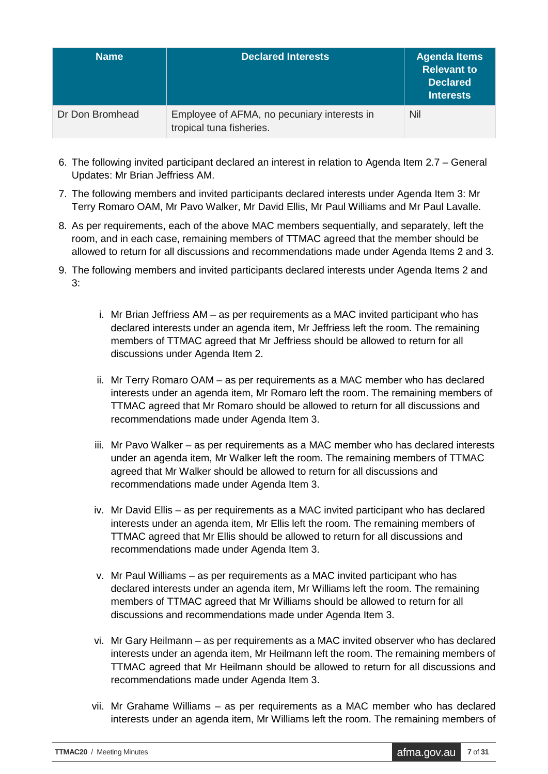| <b>Name</b>     | <b>Declared Interests</b>                                               | <b>Agenda Items</b><br><b>Relevant to</b><br>Declared<br><b>Interests</b> |
|-----------------|-------------------------------------------------------------------------|---------------------------------------------------------------------------|
| Dr Don Bromhead | Employee of AFMA, no pecuniary interests in<br>tropical tuna fisheries. | Nil                                                                       |

- 6. The following invited participant declared an interest in relation to Agenda Item 2.7 General Updates: Mr Brian Jeffriess AM.
- 7. The following members and invited participants declared interests under Agenda Item 3: Mr Terry Romaro OAM, Mr Pavo Walker, Mr David Ellis, Mr Paul Williams and Mr Paul Lavalle.
- 8. As per requirements, each of the above MAC members sequentially, and separately, left the room, and in each case, remaining members of TTMAC agreed that the member should be allowed to return for all discussions and recommendations made under Agenda Items 2 and 3.
- 9. The following members and invited participants declared interests under Agenda Items 2 and 3:
	- i. Mr Brian Jeffriess AM as per requirements as a MAC invited participant who has declared interests under an agenda item, Mr Jeffriess left the room. The remaining members of TTMAC agreed that Mr Jeffriess should be allowed to return for all discussions under Agenda Item 2.
	- ii. Mr Terry Romaro OAM as per requirements as a MAC member who has declared interests under an agenda item, Mr Romaro left the room. The remaining members of TTMAC agreed that Mr Romaro should be allowed to return for all discussions and recommendations made under Agenda Item 3.
	- iii. Mr Pavo Walker as per requirements as a MAC member who has declared interests under an agenda item, Mr Walker left the room. The remaining members of TTMAC agreed that Mr Walker should be allowed to return for all discussions and recommendations made under Agenda Item 3.
	- iv. Mr David Ellis as per requirements as a MAC invited participant who has declared interests under an agenda item, Mr Ellis left the room. The remaining members of TTMAC agreed that Mr Ellis should be allowed to return for all discussions and recommendations made under Agenda Item 3.
	- v. Mr Paul Williams as per requirements as a MAC invited participant who has declared interests under an agenda item, Mr Williams left the room. The remaining members of TTMAC agreed that Mr Williams should be allowed to return for all discussions and recommendations made under Agenda Item 3.
	- vi. Mr Gary Heilmann as per requirements as a MAC invited observer who has declared interests under an agenda item, Mr Heilmann left the room. The remaining members of TTMAC agreed that Mr Heilmann should be allowed to return for all discussions and recommendations made under Agenda Item 3.
	- vii. Mr Grahame Williams as per requirements as a MAC member who has declared interests under an agenda item, Mr Williams left the room. The remaining members of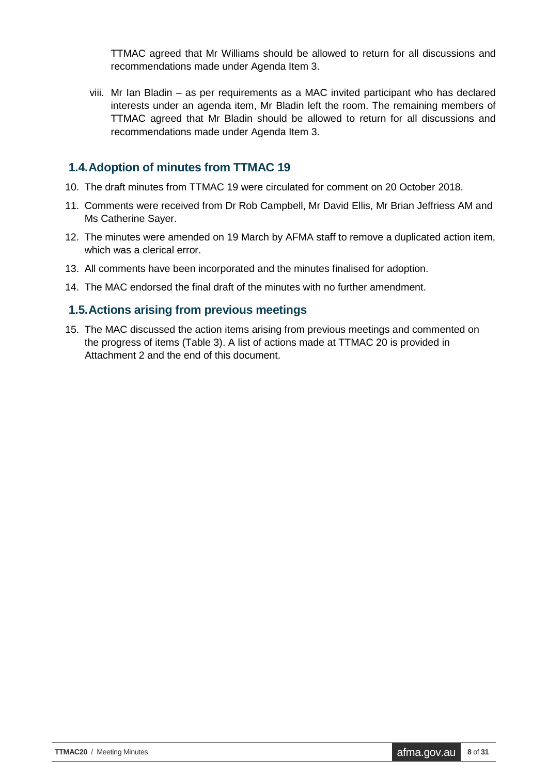TTMAC agreed that Mr Williams should be allowed to return for all discussions and recommendations made under Agenda Item 3.

viii. Mr Ian Bladin – as per requirements as a MAC invited participant who has declared interests under an agenda item, Mr Bladin left the room. The remaining members of TTMAC agreed that Mr Bladin should be allowed to return for all discussions and recommendations made under Agenda Item 3.

#### <span id="page-7-0"></span>**1.4.Adoption of minutes from TTMAC 19**

- 10. The draft minutes from TTMAC 19 were circulated for comment on 20 October 2018.
- 11. Comments were received from Dr Rob Campbell, Mr David Ellis, Mr Brian Jeffriess AM and Ms Catherine Sayer.
- 12. The minutes were amended on 19 March by AFMA staff to remove a duplicated action item, which was a clerical error.
- 13. All comments have been incorporated and the minutes finalised for adoption.
- 14. The MAC endorsed the final draft of the minutes with no further amendment.

#### <span id="page-7-1"></span>**1.5.Actions arising from previous meetings**

15. The MAC discussed the action items arising from previous meetings and commented on the progress of items (Table 3). A list of actions made at TTMAC 20 is provided in Attachment 2 and the end of this document.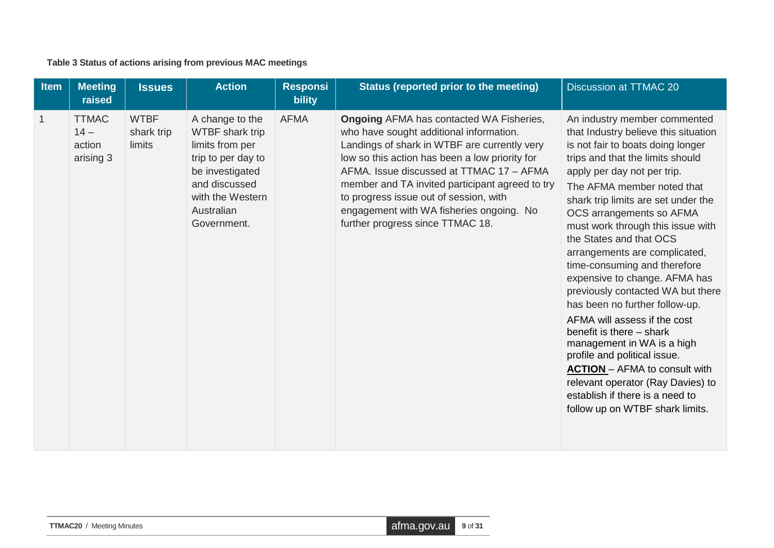**Table 3 Status of actions arising from previous MAC meetings**

<span id="page-8-0"></span>

| <b>Item</b> | <b>Meeting</b><br>raised                      | <b>Issues</b>                       | <b>Action</b>                                                                                                                                                           | <b>Responsi</b><br><b>bility</b> | Status (reported prior to the meeting)                                                                                                                                                                                                                                                                                                                                                                                | <b>Discussion at TTMAC 20</b>                                                                                                                                                                                                                                                                                                                                                                                                                                                                                                                                                                                                                                                                                                                                                                       |
|-------------|-----------------------------------------------|-------------------------------------|-------------------------------------------------------------------------------------------------------------------------------------------------------------------------|----------------------------------|-----------------------------------------------------------------------------------------------------------------------------------------------------------------------------------------------------------------------------------------------------------------------------------------------------------------------------------------------------------------------------------------------------------------------|-----------------------------------------------------------------------------------------------------------------------------------------------------------------------------------------------------------------------------------------------------------------------------------------------------------------------------------------------------------------------------------------------------------------------------------------------------------------------------------------------------------------------------------------------------------------------------------------------------------------------------------------------------------------------------------------------------------------------------------------------------------------------------------------------------|
|             | <b>TTMAC</b><br>$14 -$<br>action<br>arising 3 | <b>WTBF</b><br>shark trip<br>limits | A change to the<br><b>WTBF</b> shark trip<br>limits from per<br>trip to per day to<br>be investigated<br>and discussed<br>with the Western<br>Australian<br>Government. | <b>AFMA</b>                      | <b>Ongoing AFMA has contacted WA Fisheries,</b><br>who have sought additional information.<br>Landings of shark in WTBF are currently very<br>low so this action has been a low priority for<br>AFMA. Issue discussed at TTMAC 17 - AFMA<br>member and TA invited participant agreed to try<br>to progress issue out of session, with<br>engagement with WA fisheries ongoing. No<br>further progress since TTMAC 18. | An industry member commented<br>that Industry believe this situation<br>is not fair to boats doing longer<br>trips and that the limits should<br>apply per day not per trip.<br>The AFMA member noted that<br>shark trip limits are set under the<br>OCS arrangements so AFMA<br>must work through this issue with<br>the States and that OCS<br>arrangements are complicated,<br>time-consuming and therefore<br>expensive to change. AFMA has<br>previously contacted WA but there<br>has been no further follow-up.<br>AFMA will assess if the cost<br>benefit is there – shark<br>management in WA is a high<br>profile and political issue.<br><b>ACTION</b> - AFMA to consult with<br>relevant operator (Ray Davies) to<br>establish if there is a need to<br>follow up on WTBF shark limits. |

| afma.gov.au 9 of 31<br><b>TTMAC20</b> / Meeting Minutes |  |
|---------------------------------------------------------|--|
|---------------------------------------------------------|--|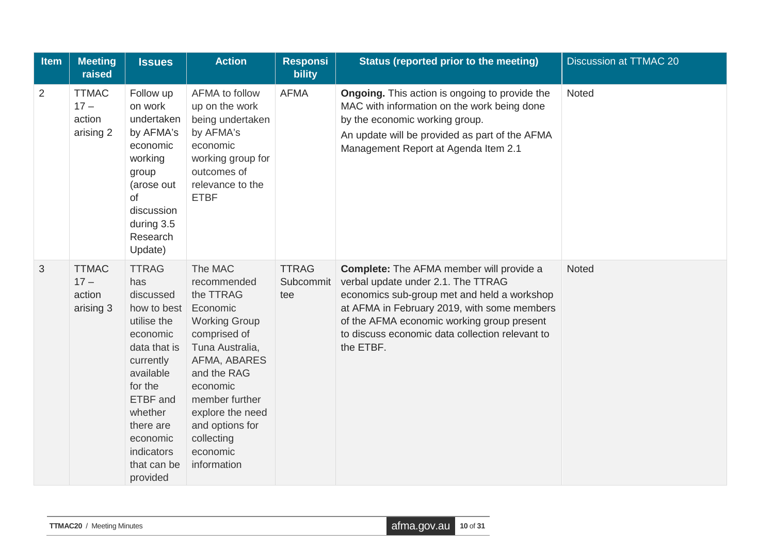| Item | <b>Meeting</b><br>raised                      | <b>Issues</b>                                                                                                                                                                                                            | <b>Action</b>                                                                                                                                                                                                                                           | <b>Responsi</b><br><b>bility</b> | Status (reported prior to the meeting)                                                                                                                                                                                                                                                            | <b>Discussion at TTMAC 20</b> |
|------|-----------------------------------------------|--------------------------------------------------------------------------------------------------------------------------------------------------------------------------------------------------------------------------|---------------------------------------------------------------------------------------------------------------------------------------------------------------------------------------------------------------------------------------------------------|----------------------------------|---------------------------------------------------------------------------------------------------------------------------------------------------------------------------------------------------------------------------------------------------------------------------------------------------|-------------------------------|
| 2    | <b>TTMAC</b><br>$17 -$<br>action<br>arising 2 | Follow up<br>on work<br>undertaken<br>by AFMA's<br>economic<br>working<br>group<br>(arose out<br>of<br>discussion<br>during 3.5<br>Research<br>Update)                                                                   | AFMA to follow<br>up on the work<br>being undertaken<br>by AFMA's<br>economic<br>working group for<br>outcomes of<br>relevance to the<br><b>ETBF</b>                                                                                                    | <b>AFMA</b>                      | <b>Ongoing.</b> This action is ongoing to provide the<br>MAC with information on the work being done<br>by the economic working group.<br>An update will be provided as part of the AFMA<br>Management Report at Agenda Item 2.1                                                                  | Noted                         |
| 3    | <b>TTMAC</b><br>$17 -$<br>action<br>arising 3 | <b>TTRAG</b><br>has<br>discussed<br>how to best<br>utilise the<br>economic<br>data that is<br>currently<br>available<br>for the<br>ETBF and<br>whether<br>there are<br>economic<br>indicators<br>that can be<br>provided | The MAC<br>recommended<br>the TTRAG<br>Economic<br><b>Working Group</b><br>comprised of<br>Tuna Australia,<br>AFMA, ABARES<br>and the RAG<br>economic<br>member further<br>explore the need<br>and options for<br>collecting<br>economic<br>information | <b>TTRAG</b><br>Subcommit<br>tee | <b>Complete:</b> The AFMA member will provide a<br>verbal update under 2.1. The TTRAG<br>economics sub-group met and held a workshop<br>at AFMA in February 2019, with some members<br>of the AFMA economic working group present<br>to discuss economic data collection relevant to<br>the ETBF. | <b>Noted</b>                  |

| <b>TTMAC20</b> / Meeting Minutes | $\alpha$ afma.gov.au $\alpha$ 10 of 31 |  |
|----------------------------------|----------------------------------------|--|
|----------------------------------|----------------------------------------|--|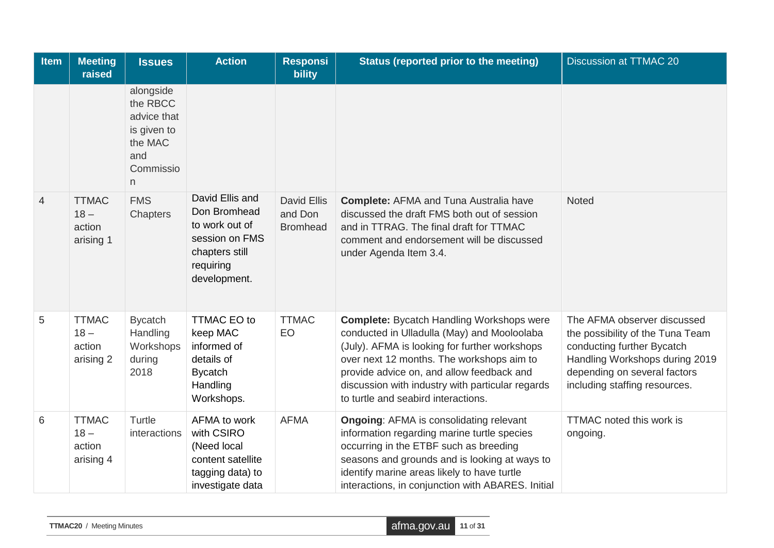| <b>Item</b> | <b>Meeting</b><br>raised                      | <b>Issues</b>                                                                           | <b>Action</b>                                                                                                      | <b>Responsi</b><br><b>bility</b>                 | <b>Status (reported prior to the meeting)</b>                                                                                                                                                                                                                                                                                         | <b>Discussion at TTMAC 20</b>                                                                                                                                                                    |
|-------------|-----------------------------------------------|-----------------------------------------------------------------------------------------|--------------------------------------------------------------------------------------------------------------------|--------------------------------------------------|---------------------------------------------------------------------------------------------------------------------------------------------------------------------------------------------------------------------------------------------------------------------------------------------------------------------------------------|--------------------------------------------------------------------------------------------------------------------------------------------------------------------------------------------------|
|             |                                               | alongside<br>the RBCC<br>advice that<br>is given to<br>the MAC<br>and<br>Commissio<br>n |                                                                                                                    |                                                  |                                                                                                                                                                                                                                                                                                                                       |                                                                                                                                                                                                  |
| 4           | <b>TTMAC</b><br>$18 -$<br>action<br>arising 1 | <b>FMS</b><br>Chapters                                                                  | David Ellis and<br>Don Bromhead<br>to work out of<br>session on FMS<br>chapters still<br>requiring<br>development. | <b>David Ellis</b><br>and Don<br><b>Bromhead</b> | <b>Complete: AFMA and Tuna Australia have</b><br>discussed the draft FMS both out of session<br>and in TTRAG. The final draft for TTMAC<br>comment and endorsement will be discussed<br>under Agenda Item 3.4.                                                                                                                        | <b>Noted</b>                                                                                                                                                                                     |
| 5           | <b>TTMAC</b><br>$18 -$<br>action<br>arising 2 | <b>Bycatch</b><br>Handling<br>Workshops<br>during<br>2018                               | <b>TTMAC EO to</b><br>keep MAC<br>informed of<br>details of<br><b>Bycatch</b><br>Handling<br>Workshops.            | <b>TTMAC</b><br>EO                               | <b>Complete:</b> Bycatch Handling Workshops were<br>conducted in Ulladulla (May) and Mooloolaba<br>(July). AFMA is looking for further workshops<br>over next 12 months. The workshops aim to<br>provide advice on, and allow feedback and<br>discussion with industry with particular regards<br>to turtle and seabird interactions. | The AFMA observer discussed<br>the possibility of the Tuna Team<br>conducting further Bycatch<br>Handling Workshops during 2019<br>depending on several factors<br>including staffing resources. |
| 6           | <b>TTMAC</b><br>$18 -$<br>action<br>arising 4 | Turtle<br>interactions                                                                  | AFMA to work<br>with CSIRO<br>(Need local<br>content satellite<br>tagging data) to<br>investigate data             | <b>AFMA</b>                                      | <b>Ongoing: AFMA is consolidating relevant</b><br>information regarding marine turtle species<br>occurring in the ETBF such as breeding<br>seasons and grounds and is looking at ways to<br>identify marine areas likely to have turtle<br>interactions, in conjunction with ABARES. Initial                                          | <b>TTMAC</b> noted this work is<br>ongoing.                                                                                                                                                      |

| <b>TTMAC20</b> / Meeting Minutes | afma.gov.au 11 of 31 |  |
|----------------------------------|----------------------|--|
|----------------------------------|----------------------|--|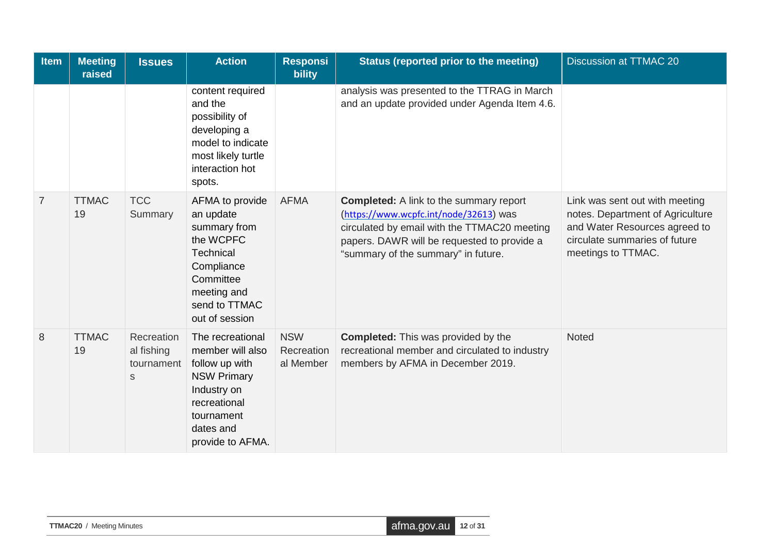| <b>Item</b>    | <b>Meeting</b><br>raised | <b>Issues</b>                               | <b>Action</b>                                                                                                                                              | <b>Responsi</b><br><b>bility</b>      | Status (reported prior to the meeting)                                                                                                                                                                                         | <b>Discussion at TTMAC 20</b>                                                                                                                              |
|----------------|--------------------------|---------------------------------------------|------------------------------------------------------------------------------------------------------------------------------------------------------------|---------------------------------------|--------------------------------------------------------------------------------------------------------------------------------------------------------------------------------------------------------------------------------|------------------------------------------------------------------------------------------------------------------------------------------------------------|
|                |                          |                                             | content required<br>and the<br>possibility of<br>developing a<br>model to indicate<br>most likely turtle<br>interaction hot<br>spots.                      |                                       | analysis was presented to the TTRAG in March<br>and an update provided under Agenda Item 4.6.                                                                                                                                  |                                                                                                                                                            |
| $\overline{7}$ | <b>TTMAC</b><br>19       | <b>TCC</b><br>Summary                       | AFMA to provide<br>an update<br>summary from<br>the WCPFC<br>Technical<br>Compliance<br>Committee<br>meeting and<br>send to TTMAC<br>out of session        | <b>AFMA</b>                           | <b>Completed:</b> A link to the summary report<br>(https://www.wcpfc.int/node/32613) was<br>circulated by email with the TTMAC20 meeting<br>papers. DAWR will be requested to provide a<br>"summary of the summary" in future. | Link was sent out with meeting<br>notes. Department of Agriculture<br>and Water Resources agreed to<br>circulate summaries of future<br>meetings to TTMAC. |
| 8              | <b>TTMAC</b><br>19       | Recreation<br>al fishing<br>tournament<br>S | The recreational<br>member will also<br>follow up with<br><b>NSW Primary</b><br>Industry on<br>recreational<br>tournament<br>dates and<br>provide to AFMA. | <b>NSW</b><br>Recreation<br>al Member | <b>Completed:</b> This was provided by the<br>recreational member and circulated to industry<br>members by AFMA in December 2019.                                                                                              | Noted                                                                                                                                                      |

| <b>TTMAC20</b> / Meeting Minutes | afma.gov.au 12 of 31 |  |
|----------------------------------|----------------------|--|
|----------------------------------|----------------------|--|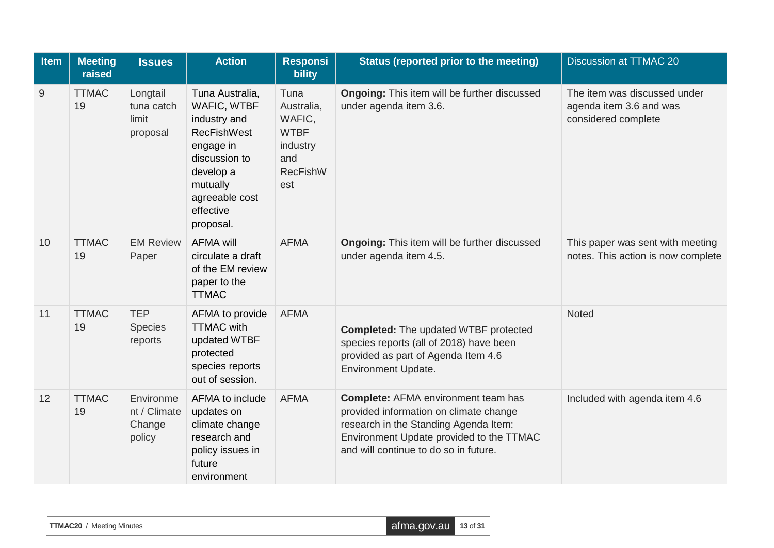| <b>Item</b> | <b>Meeting</b><br>raised | <b>Issues</b>                                 | <b>Action</b>                                                                                                                                                           | <b>Responsi</b><br>bility                                                                | Status (reported prior to the meeting)                                                                                                                                                                             | <b>Discussion at TTMAC 20</b>                                                  |
|-------------|--------------------------|-----------------------------------------------|-------------------------------------------------------------------------------------------------------------------------------------------------------------------------|------------------------------------------------------------------------------------------|--------------------------------------------------------------------------------------------------------------------------------------------------------------------------------------------------------------------|--------------------------------------------------------------------------------|
| 9           | <b>TTMAC</b><br>19       | Longtail<br>tuna catch<br>limit<br>proposal   | Tuna Australia,<br>WAFIC, WTBF<br>industry and<br><b>RecFishWest</b><br>engage in<br>discussion to<br>develop a<br>mutually<br>agreeable cost<br>effective<br>proposal. | Tuna<br>Australia,<br>WAFIC,<br><b>WTBF</b><br>industry<br>and<br><b>RecFishW</b><br>est | <b>Ongoing:</b> This item will be further discussed<br>under agenda item 3.6.                                                                                                                                      | The item was discussed under<br>agenda item 3.6 and was<br>considered complete |
| 10          | <b>TTMAC</b><br>19       | <b>EM Review</b><br>Paper                     | <b>AFMA will</b><br>circulate a draft<br>of the EM review<br>paper to the<br><b>TTMAC</b>                                                                               | <b>AFMA</b>                                                                              | <b>Ongoing:</b> This item will be further discussed<br>under agenda item 4.5.                                                                                                                                      | This paper was sent with meeting<br>notes. This action is now complete         |
| 11          | <b>TTMAC</b><br>19       | <b>TEP</b><br><b>Species</b><br>reports       | AFMA to provide<br><b>TTMAC</b> with<br>updated WTBF<br>protected<br>species reports<br>out of session.                                                                 | <b>AFMA</b>                                                                              | <b>Completed:</b> The updated WTBF protected<br>species reports (all of 2018) have been<br>provided as part of Agenda Item 4.6<br><b>Environment Update.</b>                                                       | Noted                                                                          |
| 12          | <b>TTMAC</b><br>19       | Environme<br>nt / Climate<br>Change<br>policy | AFMA to include<br>updates on<br>climate change<br>research and<br>policy issues in<br>future<br>environment                                                            | <b>AFMA</b>                                                                              | <b>Complete: AFMA environment team has</b><br>provided information on climate change<br>research in the Standing Agenda Item:<br>Environment Update provided to the TTMAC<br>and will continue to do so in future. | Included with agenda item 4.6                                                  |

| <b>TTMAC20</b> / Meeting Minutes | $\blacksquare$ afma.gov.au $\blacksquare$ 13 of 31 |  |
|----------------------------------|----------------------------------------------------|--|
|----------------------------------|----------------------------------------------------|--|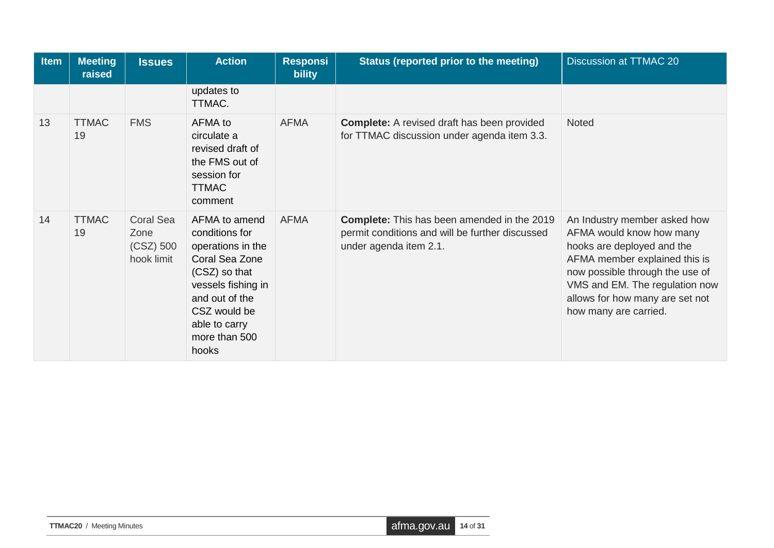| Item | <b>Meeting</b><br>raised | <b>Issues</b>                                         | <b>Action</b>                                                                                                                                                                              | <b>Responsi</b><br><b>bility</b> | Status (reported prior to the meeting)                                                                                          | Discussion at TTMAC 20                                                                                                                                                                                                                                   |
|------|--------------------------|-------------------------------------------------------|--------------------------------------------------------------------------------------------------------------------------------------------------------------------------------------------|----------------------------------|---------------------------------------------------------------------------------------------------------------------------------|----------------------------------------------------------------------------------------------------------------------------------------------------------------------------------------------------------------------------------------------------------|
|      |                          |                                                       | updates to<br>TTMAC.                                                                                                                                                                       |                                  |                                                                                                                                 |                                                                                                                                                                                                                                                          |
| 13   | <b>TTMAC</b><br>19       | <b>FMS</b>                                            | AFMA to<br>circulate a<br>revised draft of<br>the FMS out of<br>session for<br><b>TTMAC</b><br>comment                                                                                     | <b>AFMA</b>                      | <b>Complete:</b> A revised draft has been provided<br>for TTMAC discussion under agenda item 3.3.                               | Noted                                                                                                                                                                                                                                                    |
| 14   | <b>TTMAC</b><br>19       | <b>Coral Sea</b><br>Zone<br>$(CSZ)$ 500<br>hook limit | AFMA to amend<br>conditions for<br>operations in the<br>Coral Sea Zone<br>(CSZ) so that<br>vessels fishing in<br>and out of the<br>CSZ would be<br>able to carry<br>more than 500<br>hooks | <b>AFMA</b>                      | <b>Complete:</b> This has been amended in the 2019<br>permit conditions and will be further discussed<br>under agenda item 2.1. | An Industry member asked how<br>AFMA would know how many<br>hooks are deployed and the<br>AFMA member explained this is<br>now possible through the use of<br>VMS and EM. The regulation now<br>allows for how many are set not<br>how many are carried. |

| <b>TTMAC20</b> / Meeting Minutes | afma.gov.au 14 of 31 |  |
|----------------------------------|----------------------|--|
|----------------------------------|----------------------|--|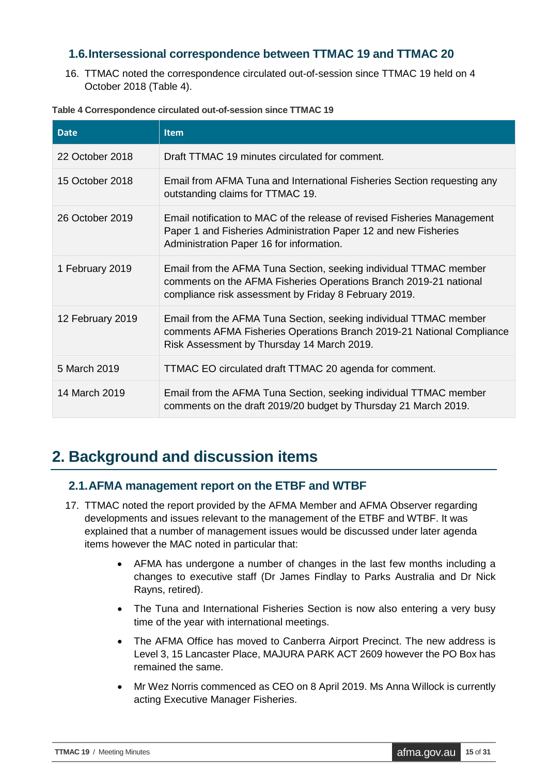#### <span id="page-14-0"></span>**1.6.Intersessional correspondence between TTMAC 19 and TTMAC 20**

16. TTMAC noted the correspondence circulated out-of-session since TTMAC 19 held on 4 October 2018 (Table 4).

| <b>Date</b>      | <b>Item</b>                                                                                                                                                                                     |
|------------------|-------------------------------------------------------------------------------------------------------------------------------------------------------------------------------------------------|
| 22 October 2018  | Draft TTMAC 19 minutes circulated for comment.                                                                                                                                                  |
| 15 October 2018  | Email from AFMA Tuna and International Fisheries Section requesting any<br>outstanding claims for TTMAC 19.                                                                                     |
| 26 October 2019  | Email notification to MAC of the release of revised Fisheries Management<br>Paper 1 and Fisheries Administration Paper 12 and new Fisheries<br>Administration Paper 16 for information.         |
| 1 February 2019  | Email from the AFMA Tuna Section, seeking individual TTMAC member<br>comments on the AFMA Fisheries Operations Branch 2019-21 national<br>compliance risk assessment by Friday 8 February 2019. |
| 12 February 2019 | Email from the AFMA Tuna Section, seeking individual TTMAC member<br>comments AFMA Fisheries Operations Branch 2019-21 National Compliance<br>Risk Assessment by Thursday 14 March 2019.        |
| 5 March 2019     | TTMAC EO circulated draft TTMAC 20 agenda for comment.                                                                                                                                          |
| 14 March 2019    | Email from the AFMA Tuna Section, seeking individual TTMAC member<br>comments on the draft 2019/20 budget by Thursday 21 March 2019.                                                            |

#### <span id="page-14-3"></span>**Table 4 Correspondence circulated out-of-session since TTMAC 19**

## <span id="page-14-1"></span>**2. Background and discussion items**

#### <span id="page-14-2"></span>**2.1.AFMA management report on the ETBF and WTBF**

- 17. TTMAC noted the report provided by the AFMA Member and AFMA Observer regarding developments and issues relevant to the management of the ETBF and WTBF. It was explained that a number of management issues would be discussed under later agenda items however the MAC noted in particular that:
	- AFMA has undergone a number of changes in the last few months including a changes to executive staff (Dr James Findlay to Parks Australia and Dr Nick Rayns, retired).
	- The Tuna and International Fisheries Section is now also entering a very busy time of the year with international meetings.
	- The AFMA Office has moved to Canberra Airport Precinct. The new address is Level 3, 15 Lancaster Place, MAJURA PARK ACT 2609 however the PO Box has remained the same.
	- Mr Wez Norris commenced as CEO on 8 April 2019. Ms Anna Willock is currently acting Executive Manager Fisheries.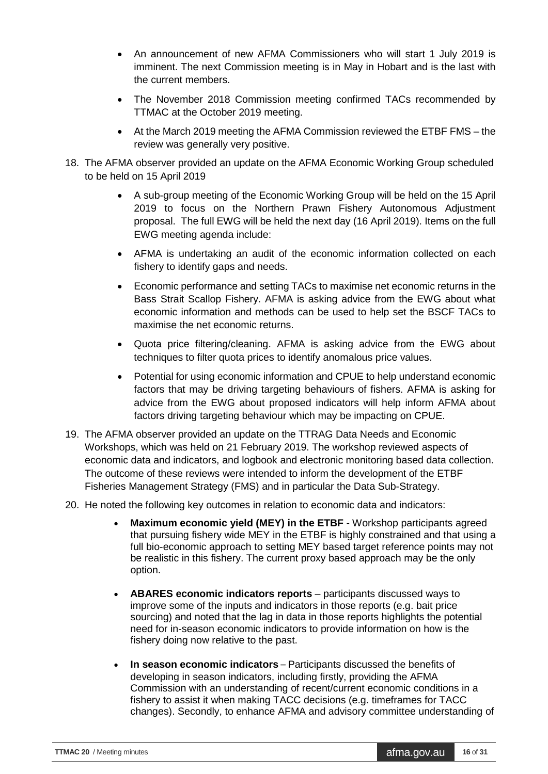- An announcement of new AFMA Commissioners who will start 1 July 2019 is imminent. The next Commission meeting is in May in Hobart and is the last with the current members.
- The November 2018 Commission meeting confirmed TACs recommended by TTMAC at the October 2019 meeting.
- At the March 2019 meeting the AFMA Commission reviewed the ETBF FMS the review was generally very positive.
- 18. The AFMA observer provided an update on the AFMA Economic Working Group scheduled to be held on 15 April 2019
	- A sub-group meeting of the Economic Working Group will be held on the 15 April 2019 to focus on the Northern Prawn Fishery Autonomous Adjustment proposal. The full EWG will be held the next day (16 April 2019). Items on the full EWG meeting agenda include:
	- AFMA is undertaking an audit of the economic information collected on each fishery to identify gaps and needs.
	- Economic performance and setting TACs to maximise net economic returns in the Bass Strait Scallop Fishery. AFMA is asking advice from the EWG about what economic information and methods can be used to help set the BSCF TACs to maximise the net economic returns.
	- Quota price filtering/cleaning. AFMA is asking advice from the EWG about techniques to filter quota prices to identify anomalous price values.
	- Potential for using economic information and CPUE to help understand economic factors that may be driving targeting behaviours of fishers. AFMA is asking for advice from the EWG about proposed indicators will help inform AFMA about factors driving targeting behaviour which may be impacting on CPUE.
- 19. The AFMA observer provided an update on the TTRAG Data Needs and Economic Workshops, which was held on 21 February 2019. The workshop reviewed aspects of economic data and indicators, and logbook and electronic monitoring based data collection. The outcome of these reviews were intended to inform the development of the ETBF Fisheries Management Strategy (FMS) and in particular the Data Sub-Strategy.
- 20. He noted the following key outcomes in relation to economic data and indicators:
	- **Maximum economic yield (MEY) in the ETBF** Workshop participants agreed that pursuing fishery wide MEY in the ETBF is highly constrained and that using a full bio-economic approach to setting MEY based target reference points may not be realistic in this fishery. The current proxy based approach may be the only option.
	- **ABARES economic indicators reports**  participants discussed ways to improve some of the inputs and indicators in those reports (e.g. bait price sourcing) and noted that the lag in data in those reports highlights the potential need for in-season economic indicators to provide information on how is the fishery doing now relative to the past.
	- **In season economic indicators** Participants discussed the benefits of developing in season indicators, including firstly, providing the AFMA Commission with an understanding of recent/current economic conditions in a fishery to assist it when making TACC decisions (e.g. timeframes for TACC changes). Secondly, to enhance AFMA and advisory committee understanding of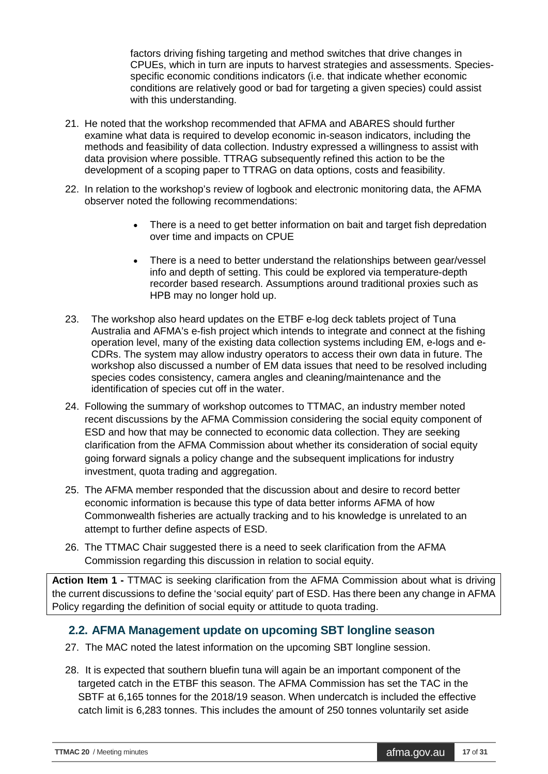factors driving fishing targeting and method switches that drive changes in CPUEs, which in turn are inputs to harvest strategies and assessments. Speciesspecific economic conditions indicators (i.e. that indicate whether economic conditions are relatively good or bad for targeting a given species) could assist with this understanding.

- 21. He noted that the workshop recommended that AFMA and ABARES should further examine what data is required to develop economic in-season indicators, including the methods and feasibility of data collection. Industry expressed a willingness to assist with data provision where possible. TTRAG subsequently refined this action to be the development of a scoping paper to TTRAG on data options, costs and feasibility.
- 22. In relation to the workshop's review of logbook and electronic monitoring data, the AFMA observer noted the following recommendations:
	- There is a need to get better information on bait and target fish depredation over time and impacts on CPUE
	- There is a need to better understand the relationships between gear/vessel info and depth of setting. This could be explored via temperature-depth recorder based research. Assumptions around traditional proxies such as HPB may no longer hold up.
- 23. The workshop also heard updates on the ETBF e-log deck tablets project of Tuna Australia and AFMA's e-fish project which intends to integrate and connect at the fishing operation level, many of the existing data collection systems including EM, e-logs and e-CDRs. The system may allow industry operators to access their own data in future. The workshop also discussed a number of EM data issues that need to be resolved including species codes consistency, camera angles and cleaning/maintenance and the identification of species cut off in the water.
- 24. Following the summary of workshop outcomes to TTMAC, an industry member noted recent discussions by the AFMA Commission considering the social equity component of ESD and how that may be connected to economic data collection. They are seeking clarification from the AFMA Commission about whether its consideration of social equity going forward signals a policy change and the subsequent implications for industry investment, quota trading and aggregation.
- 25. The AFMA member responded that the discussion about and desire to record better economic information is because this type of data better informs AFMA of how Commonwealth fisheries are actually tracking and to his knowledge is unrelated to an attempt to further define aspects of ESD.
- 26. The TTMAC Chair suggested there is a need to seek clarification from the AFMA Commission regarding this discussion in relation to social equity.

**Action Item 1 -** TTMAC is seeking clarification from the AFMA Commission about what is driving the current discussions to define the 'social equity' part of ESD. Has there been any change in AFMA Policy regarding the definition of social equity or attitude to quota trading.

#### <span id="page-16-0"></span>**2.2. AFMA Management update on upcoming SBT longline season**

- 27. The MAC noted the latest information on the upcoming SBT longline session.
- 28. It is expected that southern bluefin tuna will again be an important component of the targeted catch in the ETBF this season. The AFMA Commission has set the TAC in the SBTF at 6,165 tonnes for the 2018/19 season. When undercatch is included the effective catch limit is 6,283 tonnes. This includes the amount of 250 tonnes voluntarily set aside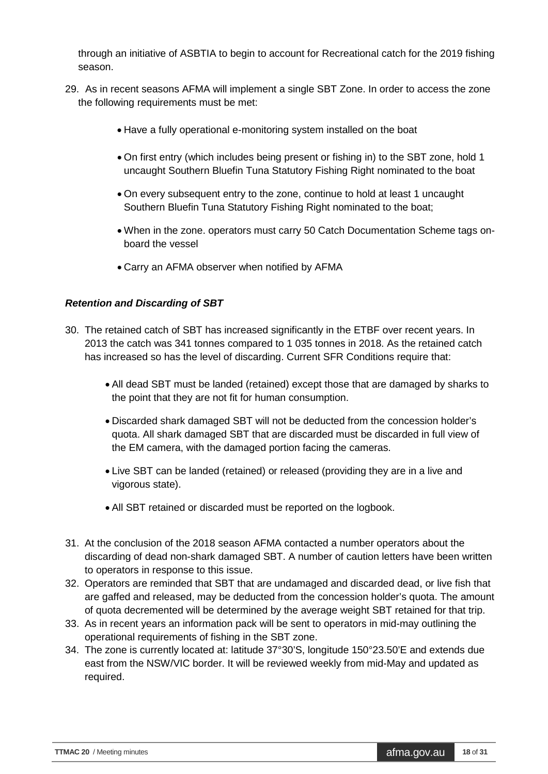through an initiative of ASBTIA to begin to account for Recreational catch for the 2019 fishing season.

- 29. As in recent seasons AFMA will implement a single SBT Zone. In order to access the zone the following requirements must be met:
	- Have a fully operational e-monitoring system installed on the boat
	- On first entry (which includes being present or fishing in) to the SBT zone, hold 1 uncaught Southern Bluefin Tuna Statutory Fishing Right nominated to the boat
	- On every subsequent entry to the zone, continue to hold at least 1 uncaught Southern Bluefin Tuna Statutory Fishing Right nominated to the boat;
	- When in the zone. operators must carry 50 Catch Documentation Scheme tags onboard the vessel
	- Carry an AFMA observer when notified by AFMA

#### *Retention and Discarding of SBT*

- 30. The retained catch of SBT has increased significantly in the ETBF over recent years. In 2013 the catch was 341 tonnes compared to 1 035 tonnes in 2018. As the retained catch has increased so has the level of discarding. Current SFR Conditions require that:
	- All dead SBT must be landed (retained) except those that are damaged by sharks to the point that they are not fit for human consumption.
	- Discarded shark damaged SBT will not be deducted from the concession holder's quota. All shark damaged SBT that are discarded must be discarded in full view of the EM camera, with the damaged portion facing the cameras.
	- Live SBT can be landed (retained) or released (providing they are in a live and vigorous state).
	- All SBT retained or discarded must be reported on the logbook.
- 31. At the conclusion of the 2018 season AFMA contacted a number operators about the discarding of dead non-shark damaged SBT. A number of caution letters have been written to operators in response to this issue.
- 32. Operators are reminded that SBT that are undamaged and discarded dead, or live fish that are gaffed and released, may be deducted from the concession holder's quota. The amount of quota decremented will be determined by the average weight SBT retained for that trip.
- 33. As in recent years an information pack will be sent to operators in mid-may outlining the operational requirements of fishing in the SBT zone.
- 34. The zone is currently located at: latitude 37°30'S, longitude 150°23.50'E and extends due east from the NSW/VIC border. It will be reviewed weekly from mid-May and updated as required.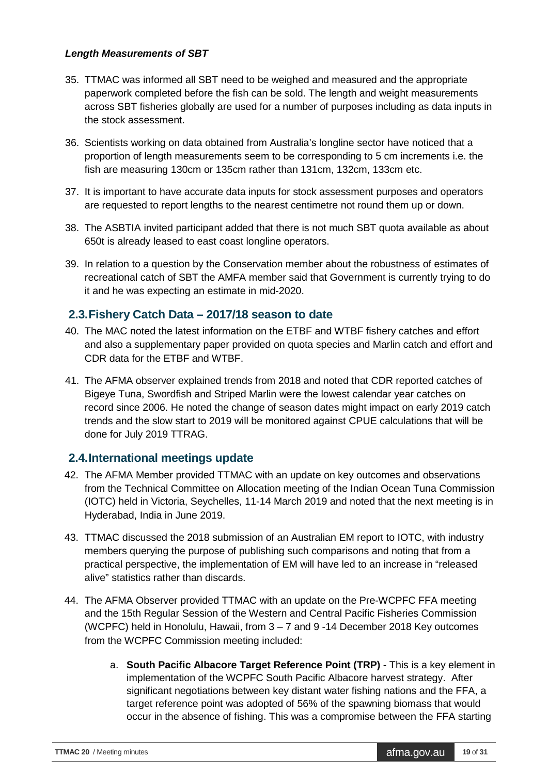#### *Length Measurements of SBT*

- 35. TTMAC was informed all SBT need to be weighed and measured and the appropriate paperwork completed before the fish can be sold. The length and weight measurements across SBT fisheries globally are used for a number of purposes including as data inputs in the stock assessment.
- 36. Scientists working on data obtained from Australia's longline sector have noticed that a proportion of length measurements seem to be corresponding to 5 cm increments i.e. the fish are measuring 130cm or 135cm rather than 131cm, 132cm, 133cm etc.
- 37. It is important to have accurate data inputs for stock assessment purposes and operators are requested to report lengths to the nearest centimetre not round them up or down.
- 38. The ASBTIA invited participant added that there is not much SBT quota available as about 650t is already leased to east coast longline operators.
- 39. In relation to a question by the Conservation member about the robustness of estimates of recreational catch of SBT the AMFA member said that Government is currently trying to do it and he was expecting an estimate in mid-2020.

#### <span id="page-18-0"></span>**2.3.Fishery Catch Data – 2017/18 season to date**

- 40. The MAC noted the latest information on the ETBF and WTBF fishery catches and effort and also a supplementary paper provided on quota species and Marlin catch and effort and CDR data for the ETBF and WTBF.
- 41. The AFMA observer explained trends from 2018 and noted that CDR reported catches of Bigeye Tuna, Swordfish and Striped Marlin were the lowest calendar year catches on record since 2006. He noted the change of season dates might impact on early 2019 catch trends and the slow start to 2019 will be monitored against CPUE calculations that will be done for July 2019 TTRAG.

#### <span id="page-18-1"></span>**2.4.International meetings update**

- 42. The AFMA Member provided TTMAC with an update on key outcomes and observations from the Technical Committee on Allocation meeting of the Indian Ocean Tuna Commission (IOTC) held in Victoria, Seychelles, 11-14 March 2019 and noted that the next meeting is in Hyderabad, India in June 2019.
- 43. TTMAC discussed the 2018 submission of an Australian EM report to IOTC, with industry members querying the purpose of publishing such comparisons and noting that from a practical perspective, the implementation of EM will have led to an increase in "released alive" statistics rather than discards.
- 44. The AFMA Observer provided TTMAC with an update on the Pre-WCPFC FFA meeting and the 15th Regular Session of the Western and Central Pacific Fisheries Commission (WCPFC) held in Honolulu, Hawaii, from 3 – 7 and 9 -14 December 2018 Key outcomes from the WCPFC Commission meeting included:
	- a. **South Pacific Albacore Target Reference Point (TRP)**  This is a key element in implementation of the WCPFC South Pacific Albacore harvest strategy. After significant negotiations between key distant water fishing nations and the FFA, a target reference point was adopted of 56% of the spawning biomass that would occur in the absence of fishing. This was a compromise between the FFA starting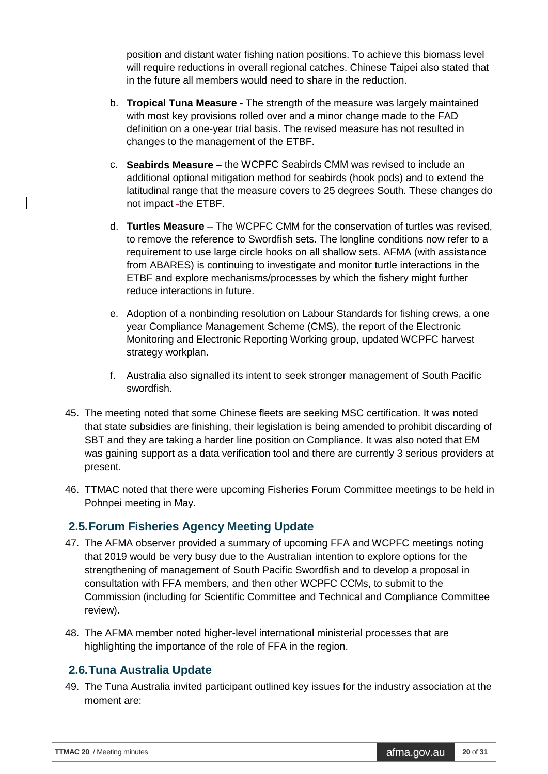position and distant water fishing nation positions. To achieve this biomass level will require reductions in overall regional catches. Chinese Taipei also stated that in the future all members would need to share in the reduction.

- b. **Tropical Tuna Measure -** The strength of the measure was largely maintained with most key provisions rolled over and a minor change made to the FAD definition on a one-year trial basis. The revised measure has not resulted in changes to the management of the ETBF.
- c. **Seabirds Measure –** the WCPFC Seabirds CMM was revised to include an additional optional mitigation method for seabirds (hook pods) and to extend the latitudinal range that the measure covers to 25 degrees South. These changes do not impact -the ETBF.
- d. **Turtles Measure**  The WCPFC CMM for the conservation of turtles was revised, to remove the reference to Swordfish sets. The longline conditions now refer to a requirement to use large circle hooks on all shallow sets. AFMA (with assistance from ABARES) is continuing to investigate and monitor turtle interactions in the ETBF and explore mechanisms/processes by which the fishery might further reduce interactions in future.
- e. Adoption of a nonbinding resolution on Labour Standards for fishing crews, a one year Compliance Management Scheme (CMS), the report of the Electronic Monitoring and Electronic Reporting Working group, updated WCPFC harvest strategy workplan.
- f. Australia also signalled its intent to seek stronger management of South Pacific swordfish.
- 45. The meeting noted that some Chinese fleets are seeking MSC certification. It was noted that state subsidies are finishing, their legislation is being amended to prohibit discarding of SBT and they are taking a harder line position on Compliance. It was also noted that EM was gaining support as a data verification tool and there are currently 3 serious providers at present.
- 46. TTMAC noted that there were upcoming Fisheries Forum Committee meetings to be held in Pohnpei meeting in May.

#### <span id="page-19-0"></span>**2.5.Forum Fisheries Agency Meeting Update**

- 47. The AFMA observer provided a summary of upcoming FFA and WCPFC meetings noting that 2019 would be very busy due to the Australian intention to explore options for the strengthening of management of South Pacific Swordfish and to develop a proposal in consultation with FFA members, and then other WCPFC CCMs, to submit to the Commission (including for Scientific Committee and Technical and Compliance Committee review).
- 48. The AFMA member noted higher-level international ministerial processes that are highlighting the importance of the role of FFA in the region.

## <span id="page-19-1"></span>**2.6.Tuna Australia Update**

49. The Tuna Australia invited participant outlined key issues for the industry association at the moment are: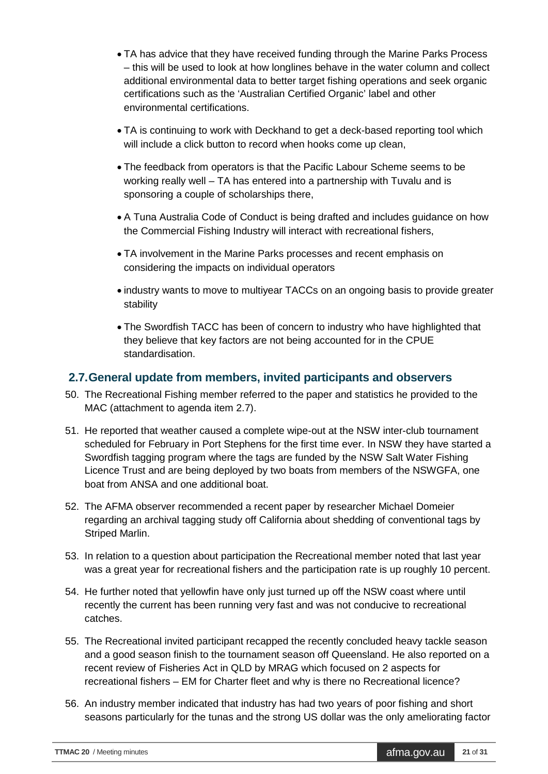- TA has advice that they have received funding through the Marine Parks Process – this will be used to look at how longlines behave in the water column and collect additional environmental data to better target fishing operations and seek organic certifications such as the 'Australian Certified Organic' label and other environmental certifications.
- TA is continuing to work with Deckhand to get a deck-based reporting tool which will include a click button to record when hooks come up clean.
- The feedback from operators is that the Pacific Labour Scheme seems to be working really well – TA has entered into a partnership with Tuvalu and is sponsoring a couple of scholarships there,
- A Tuna Australia Code of Conduct is being drafted and includes guidance on how the Commercial Fishing Industry will interact with recreational fishers,
- TA involvement in the Marine Parks processes and recent emphasis on considering the impacts on individual operators
- industry wants to move to multiyear TACCs on an ongoing basis to provide greater stability
- The Swordfish TACC has been of concern to industry who have highlighted that they believe that key factors are not being accounted for in the CPUE standardisation.

#### <span id="page-20-0"></span>**2.7.General update from members, invited participants and observers**

- 50. The Recreational Fishing member referred to the paper and statistics he provided to the MAC (attachment to agenda item 2.7).
- 51. He reported that weather caused a complete wipe-out at the NSW inter-club tournament scheduled for February in Port Stephens for the first time ever. In NSW they have started a Swordfish tagging program where the tags are funded by the NSW Salt Water Fishing Licence Trust and are being deployed by two boats from members of the NSWGFA, one boat from ANSA and one additional boat.
- 52. The AFMA observer recommended a recent paper by researcher Michael Domeier regarding an archival tagging study off California about shedding of conventional tags by Striped Marlin.
- 53. In relation to a question about participation the Recreational member noted that last year was a great year for recreational fishers and the participation rate is up roughly 10 percent.
- 54. He further noted that yellowfin have only just turned up off the NSW coast where until recently the current has been running very fast and was not conducive to recreational catches.
- 55. The Recreational invited participant recapped the recently concluded heavy tackle season and a good season finish to the tournament season off Queensland. He also reported on a recent review of Fisheries Act in QLD by MRAG which focused on 2 aspects for recreational fishers – EM for Charter fleet and why is there no Recreational licence?
- 56. An industry member indicated that industry has had two years of poor fishing and short seasons particularly for the tunas and the strong US dollar was the only ameliorating factor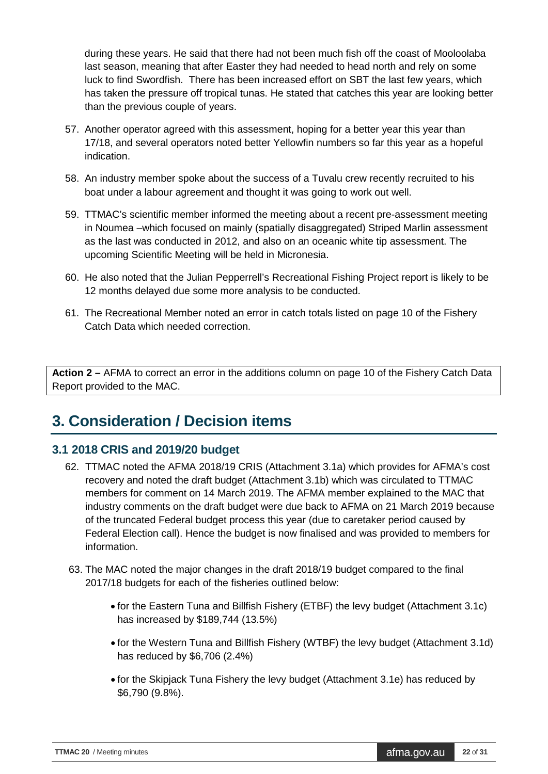during these years. He said that there had not been much fish off the coast of Mooloolaba last season, meaning that after Easter they had needed to head north and rely on some luck to find Swordfish. There has been increased effort on SBT the last few years, which has taken the pressure off tropical tunas. He stated that catches this year are looking better than the previous couple of years.

- 57. Another operator agreed with this assessment, hoping for a better year this year than 17/18, and several operators noted better Yellowfin numbers so far this year as a hopeful indication.
- 58. An industry member spoke about the success of a Tuvalu crew recently recruited to his boat under a labour agreement and thought it was going to work out well.
- 59. TTMAC's scientific member informed the meeting about a recent pre-assessment meeting in Noumea –which focused on mainly (spatially disaggregated) Striped Marlin assessment as the last was conducted in 2012, and also on an oceanic white tip assessment. The upcoming Scientific Meeting will be held in Micronesia.
- 60. He also noted that the Julian Pepperrell's Recreational Fishing Project report is likely to be 12 months delayed due some more analysis to be conducted.
- 61. The Recreational Member noted an error in catch totals listed on page 10 of the Fishery Catch Data which needed correction.

**Action 2 –** AFMA to correct an error in the additions column on page 10 of the Fishery Catch Data Report provided to the MAC.

## <span id="page-21-0"></span>**3. Consideration / Decision items**

## <span id="page-21-1"></span>**3.1 2018 CRIS and 2019/20 budget**

- 62. TTMAC noted the AFMA 2018/19 CRIS (Attachment 3.1a) which provides for AFMA's cost recovery and noted the draft budget (Attachment 3.1b) which was circulated to TTMAC members for comment on 14 March 2019. The AFMA member explained to the MAC that industry comments on the draft budget were due back to AFMA on 21 March 2019 because of the truncated Federal budget process this year (due to caretaker period caused by Federal Election call). Hence the budget is now finalised and was provided to members for information.
- 63. The MAC noted the major changes in the draft 2018/19 budget compared to the final 2017/18 budgets for each of the fisheries outlined below:
	- for the Eastern Tuna and Billfish Fishery (ETBF) the levy budget (Attachment 3.1c) has increased by \$189,744 (13.5%)
	- for the Western Tuna and Billfish Fishery (WTBF) the levy budget (Attachment 3.1d) has reduced by \$6,706 (2.4%)
	- for the Skipjack Tuna Fishery the levy budget (Attachment 3.1e) has reduced by \$6,790 (9.8%).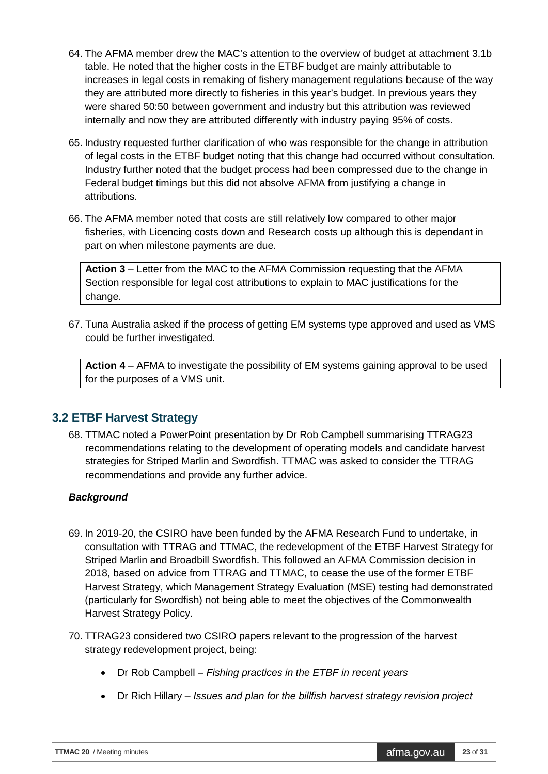- 64. The AFMA member drew the MAC's attention to the overview of budget at attachment 3.1b table. He noted that the higher costs in the ETBF budget are mainly attributable to increases in legal costs in remaking of fishery management regulations because of the way they are attributed more directly to fisheries in this year's budget. In previous years they were shared 50:50 between government and industry but this attribution was reviewed internally and now they are attributed differently with industry paying 95% of costs.
- 65. Industry requested further clarification of who was responsible for the change in attribution of legal costs in the ETBF budget noting that this change had occurred without consultation. Industry further noted that the budget process had been compressed due to the change in Federal budget timings but this did not absolve AFMA from justifying a change in attributions.
- 66. The AFMA member noted that costs are still relatively low compared to other major fisheries, with Licencing costs down and Research costs up although this is dependant in part on when milestone payments are due.

**Action 3** – Letter from the MAC to the AFMA Commission requesting that the AFMA Section responsible for legal cost attributions to explain to MAC justifications for the change.

67. Tuna Australia asked if the process of getting EM systems type approved and used as VMS could be further investigated.

**Action 4** – AFMA to investigate the possibility of EM systems gaining approval to be used for the purposes of a VMS unit.

#### <span id="page-22-0"></span>**3.2 ETBF Harvest Strategy**

68. TTMAC noted a PowerPoint presentation by Dr Rob Campbell summarising TTRAG23 recommendations relating to the development of operating models and candidate harvest strategies for Striped Marlin and Swordfish. TTMAC was asked to consider the TTRAG recommendations and provide any further advice.

#### *Background*

- 69. In 2019-20, the CSIRO have been funded by the AFMA Research Fund to undertake, in consultation with TTRAG and TTMAC, the redevelopment of the ETBF Harvest Strategy for Striped Marlin and Broadbill Swordfish. This followed an AFMA Commission decision in 2018, based on advice from TTRAG and TTMAC, to cease the use of the former ETBF Harvest Strategy, which Management Strategy Evaluation (MSE) testing had demonstrated (particularly for Swordfish) not being able to meet the objectives of the Commonwealth Harvest Strategy Policy.
- 70. TTRAG23 considered two CSIRO papers relevant to the progression of the harvest strategy redevelopment project, being:
	- Dr Rob Campbell *Fishing practices in the ETBF in recent years*
	- Dr Rich Hillary *Issues and plan for the billfish harvest strategy revision project*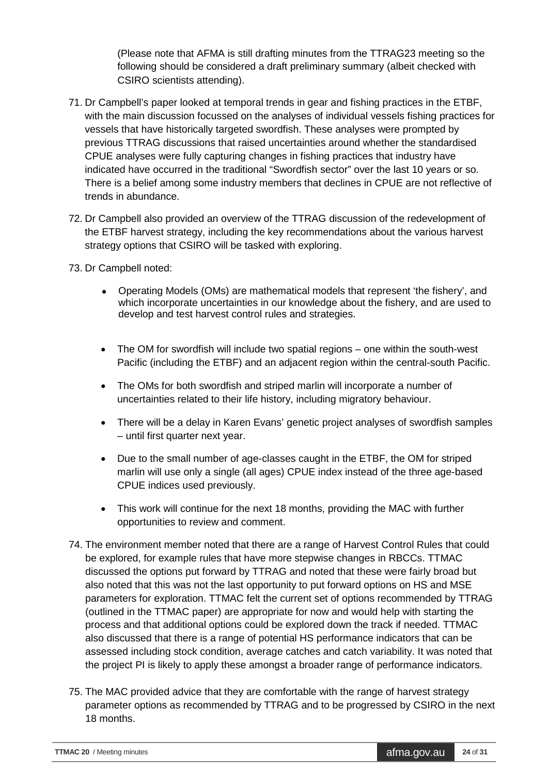(Please note that AFMA is still drafting minutes from the TTRAG23 meeting so the following should be considered a draft preliminary summary (albeit checked with CSIRO scientists attending).

- 71. Dr Campbell's paper looked at temporal trends in gear and fishing practices in the ETBF, with the main discussion focussed on the analyses of individual vessels fishing practices for vessels that have historically targeted swordfish. These analyses were prompted by previous TTRAG discussions that raised uncertainties around whether the standardised CPUE analyses were fully capturing changes in fishing practices that industry have indicated have occurred in the traditional "Swordfish sector" over the last 10 years or so. There is a belief among some industry members that declines in CPUE are not reflective of trends in abundance.
- 72. Dr Campbell also provided an overview of the TTRAG discussion of the redevelopment of the ETBF harvest strategy, including the key recommendations about the various harvest strategy options that CSIRO will be tasked with exploring.
- 73. Dr Campbell noted:
	- Operating Models (OMs) are mathematical models that represent 'the fishery', and which incorporate uncertainties in our knowledge about the fishery, and are used to develop and test harvest control rules and strategies.
	- The OM for swordfish will include two spatial regions one within the south-west Pacific (including the ETBF) and an adjacent region within the central-south Pacific.
	- The OMs for both swordfish and striped marlin will incorporate a number of uncertainties related to their life history, including migratory behaviour.
	- There will be a delay in Karen Evans' genetic project analyses of swordfish samples – until first quarter next year.
	- Due to the small number of age-classes caught in the ETBF, the OM for striped marlin will use only a single (all ages) CPUE index instead of the three age-based CPUE indices used previously.
	- This work will continue for the next 18 months, providing the MAC with further opportunities to review and comment.
- 74. The environment member noted that there are a range of Harvest Control Rules that could be explored, for example rules that have more stepwise changes in RBCCs. TTMAC discussed the options put forward by TTRAG and noted that these were fairly broad but also noted that this was not the last opportunity to put forward options on HS and MSE parameters for exploration. TTMAC felt the current set of options recommended by TTRAG (outlined in the TTMAC paper) are appropriate for now and would help with starting the process and that additional options could be explored down the track if needed. TTMAC also discussed that there is a range of potential HS performance indicators that can be assessed including stock condition, average catches and catch variability. It was noted that the project PI is likely to apply these amongst a broader range of performance indicators.
- 75. The MAC provided advice that they are comfortable with the range of harvest strategy parameter options as recommended by TTRAG and to be progressed by CSIRO in the next 18 months.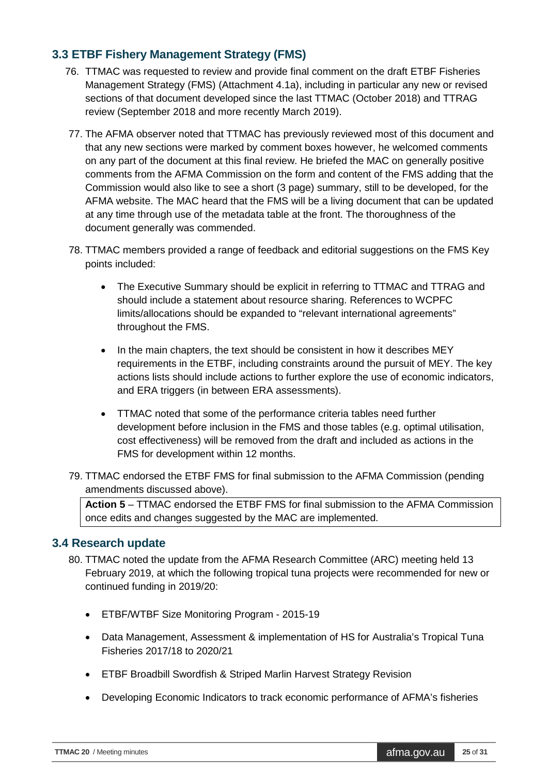#### <span id="page-24-0"></span>**3.3 ETBF Fishery Management Strategy (FMS)**

- 76. TTMAC was requested to review and provide final comment on the draft ETBF Fisheries Management Strategy (FMS) (Attachment 4.1a), including in particular any new or revised sections of that document developed since the last TTMAC (October 2018) and TTRAG review (September 2018 and more recently March 2019).
- 77. The AFMA observer noted that TTMAC has previously reviewed most of this document and that any new sections were marked by comment boxes however, he welcomed comments on any part of the document at this final review. He briefed the MAC on generally positive comments from the AFMA Commission on the form and content of the FMS adding that the Commission would also like to see a short (3 page) summary, still to be developed, for the AFMA website. The MAC heard that the FMS will be a living document that can be updated at any time through use of the metadata table at the front. The thoroughness of the document generally was commended.
- 78. TTMAC members provided a range of feedback and editorial suggestions on the FMS Key points included:
	- The Executive Summary should be explicit in referring to TTMAC and TTRAG and should include a statement about resource sharing. References to WCPFC limits/allocations should be expanded to "relevant international agreements" throughout the FMS.
	- In the main chapters, the text should be consistent in how it describes MEY requirements in the ETBF, including constraints around the pursuit of MEY. The key actions lists should include actions to further explore the use of economic indicators, and ERA triggers (in between ERA assessments).
	- TTMAC noted that some of the performance criteria tables need further development before inclusion in the FMS and those tables (e.g. optimal utilisation, cost effectiveness) will be removed from the draft and included as actions in the FMS for development within 12 months.
- 79. TTMAC endorsed the ETBF FMS for final submission to the AFMA Commission (pending amendments discussed above).

**Action 5** – TTMAC endorsed the ETBF FMS for final submission to the AFMA Commission once edits and changes suggested by the MAC are implemented.

#### <span id="page-24-1"></span>**3.4 Research update**

- 80. TTMAC noted the update from the AFMA Research Committee (ARC) meeting held 13 February 2019, at which the following tropical tuna projects were recommended for new or continued funding in 2019/20:
	- ETBF/WTBF Size Monitoring Program 2015-19
	- Data Management, Assessment & implementation of HS for Australia's Tropical Tuna Fisheries 2017/18 to 2020/21
	- ETBF Broadbill Swordfish & Striped Marlin Harvest Strategy Revision
	- Developing Economic Indicators to track economic performance of AFMA's fisheries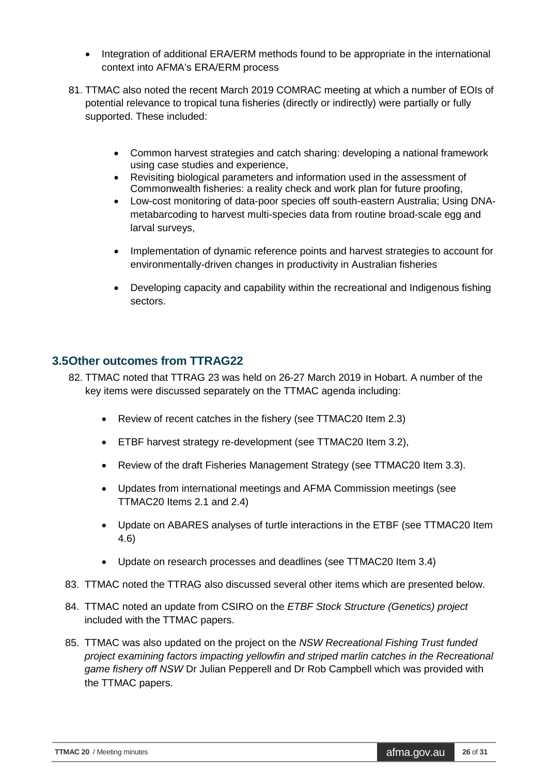- Integration of additional ERA/ERM methods found to be appropriate in the international context into AFMA's ERA/ERM process
- 81. TTMAC also noted the recent March 2019 COMRAC meeting at which a number of EOIs of potential relevance to tropical tuna fisheries (directly or indirectly) were partially or fully supported. These included:
	- Common harvest strategies and catch sharing: developing a national framework using case studies and experience,
	- Revisiting biological parameters and information used in the assessment of Commonwealth fisheries: a reality check and work plan for future proofing,
	- Low-cost monitoring of data-poor species off south-eastern Australia; Using DNAmetabarcoding to harvest multi-species data from routine broad-scale egg and larval surveys,
	- Implementation of dynamic reference points and harvest strategies to account for environmentally-driven changes in productivity in Australian fisheries
	- Developing capacity and capability within the recreational and Indigenous fishing sectors.

#### <span id="page-25-0"></span>**3.5Other outcomes from TTRAG22**

- 82. TTMAC noted that TTRAG 23 was held on 26-27 March 2019 in Hobart. A number of the key items were discussed separately on the TTMAC agenda including:
	- Review of recent catches in the fishery (see TTMAC20 Item 2.3)
	- ETBF harvest strategy re-development (see TTMAC20 Item 3.2),
	- Review of the draft Fisheries Management Strategy (see TTMAC20 Item 3.3).
	- Updates from international meetings and AFMA Commission meetings (see TTMAC20 Items 2.1 and 2.4)
	- Update on ABARES analyses of turtle interactions in the ETBF (see TTMAC20 Item 4.6)
	- Update on research processes and deadlines (see TTMAC20 Item 3.4)
- 83. TTMAC noted the TTRAG also discussed several other items which are presented below.
- 84. TTMAC noted an update from CSIRO on the *ETBF Stock Structure (Genetics) project* included with the TTMAC papers.
- 85. TTMAC was also updated on the project on the *NSW Recreational Fishing Trust funded project examining factors impacting yellowfin and striped marlin catches in the Recreational game fishery off NSW* Dr Julian Pepperell and Dr Rob Campbell which was provided with the TTMAC papers.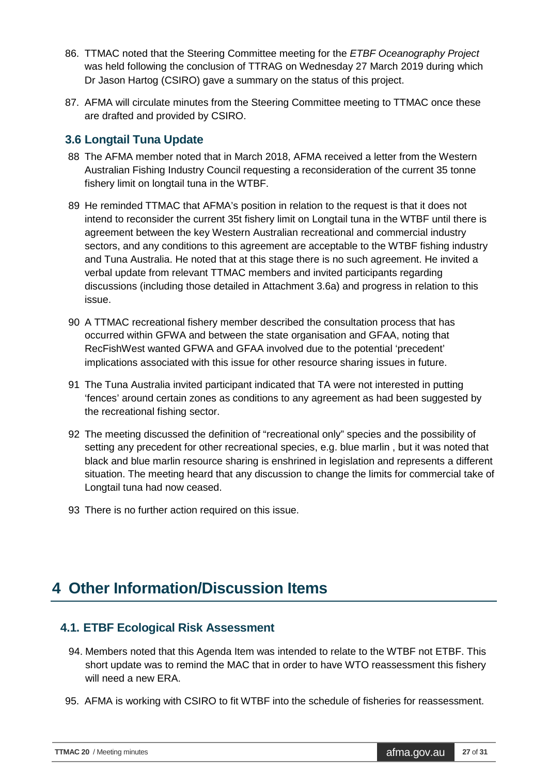- 86. TTMAC noted that the Steering Committee meeting for the *ETBF Oceanography Project* was held following the conclusion of TTRAG on Wednesday 27 March 2019 during which Dr Jason Hartog (CSIRO) gave a summary on the status of this project.
- 87. AFMA will circulate minutes from the Steering Committee meeting to TTMAC once these are drafted and provided by CSIRO.

#### <span id="page-26-0"></span>**3.6 Longtail Tuna Update**

- 88 The AFMA member noted that in March 2018, AFMA received a letter from the Western Australian Fishing Industry Council requesting a reconsideration of the current 35 tonne fishery limit on longtail tuna in the WTBF.
- 89 He reminded TTMAC that AFMA's position in relation to the request is that it does not intend to reconsider the current 35t fishery limit on Longtail tuna in the WTBF until there is agreement between the key Western Australian recreational and commercial industry sectors, and any conditions to this agreement are acceptable to the WTBF fishing industry and Tuna Australia. He noted that at this stage there is no such agreement. He invited a verbal update from relevant TTMAC members and invited participants regarding discussions (including those detailed in Attachment 3.6a) and progress in relation to this issue.
- 90 A TTMAC recreational fishery member described the consultation process that has occurred within GFWA and between the state organisation and GFAA, noting that RecFishWest wanted GFWA and GFAA involved due to the potential 'precedent' implications associated with this issue for other resource sharing issues in future.
- 91 The Tuna Australia invited participant indicated that TA were not interested in putting 'fences' around certain zones as conditions to any agreement as had been suggested by the recreational fishing sector.
- 92 The meeting discussed the definition of "recreational only" species and the possibility of setting any precedent for other recreational species, e.g. blue marlin , but it was noted that black and blue marlin resource sharing is enshrined in legislation and represents a different situation. The meeting heard that any discussion to change the limits for commercial take of Longtail tuna had now ceased.
- 93 There is no further action required on this issue.

## <span id="page-26-1"></span>**4 Other Information/Discussion Items**

#### **4.1. ETBF Ecological Risk Assessment**

- 94. Members noted that this Agenda Item was intended to relate to the WTBF not ETBF. This short update was to remind the MAC that in order to have WTO reassessment this fishery will need a new ERA.
- 95. AFMA is working with CSIRO to fit WTBF into the schedule of fisheries for reassessment.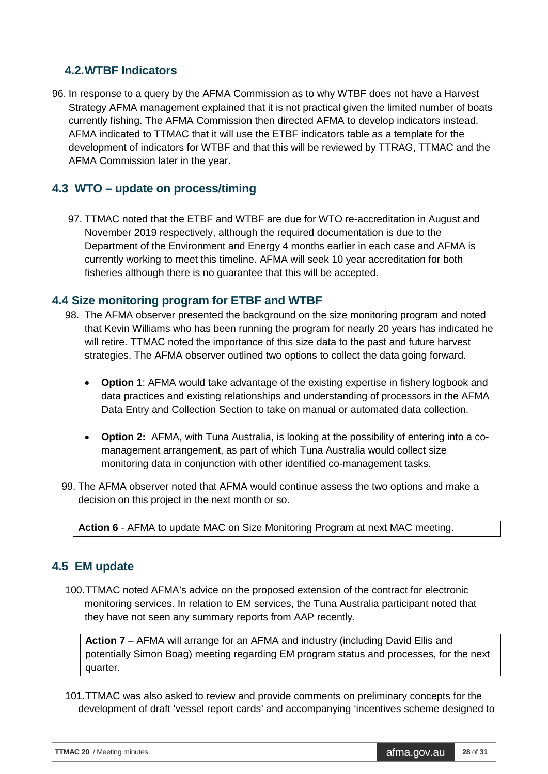#### **4.2.WTBF Indicators**

96. In response to a query by the AFMA Commission as to why WTBF does not have a Harvest Strategy AFMA management explained that it is not practical given the limited number of boats currently fishing. The AFMA Commission then directed AFMA to develop indicators instead. AFMA indicated to TTMAC that it will use the ETBF indicators table as a template for the development of indicators for WTBF and that this will be reviewed by TTRAG, TTMAC and the AFMA Commission later in the year.

#### **4.3 WTO – update on process/timing**

97. TTMAC noted that the ETBF and WTBF are due for WTO re-accreditation in August and November 2019 respectively, although the required documentation is due to the Department of the Environment and Energy 4 months earlier in each case and AFMA is currently working to meet this timeline. AFMA will seek 10 year accreditation for both fisheries although there is no guarantee that this will be accepted.

#### **4.4 Size monitoring program for ETBF and WTBF**

- 98. The AFMA observer presented the background on the size monitoring program and noted that Kevin Williams who has been running the program for nearly 20 years has indicated he will retire. TTMAC noted the importance of this size data to the past and future harvest strategies. The AFMA observer outlined two options to collect the data going forward.
	- **Option 1**: AFMA would take advantage of the existing expertise in fishery logbook and data practices and existing relationships and understanding of processors in the AFMA Data Entry and Collection Section to take on manual or automated data collection.
	- **Option 2:** AFMA, with Tuna Australia, is looking at the possibility of entering into a comanagement arrangement, as part of which Tuna Australia would collect size monitoring data in conjunction with other identified co-management tasks.
- 99. The AFMA observer noted that AFMA would continue assess the two options and make a decision on this project in the next month or so.

**Action 6** - AFMA to update MAC on Size Monitoring Program at next MAC meeting.

#### **4.5 EM update**

100.TTMAC noted AFMA's advice on the proposed extension of the contract for electronic monitoring services. In relation to EM services, the Tuna Australia participant noted that they have not seen any summary reports from AAP recently.

**Action 7** – AFMA will arrange for an AFMA and industry (including David Ellis and potentially Simon Boag) meeting regarding EM program status and processes, for the next quarter.

101.TTMAC was also asked to review and provide comments on preliminary concepts for the development of draft 'vessel report cards' and accompanying 'incentives scheme designed to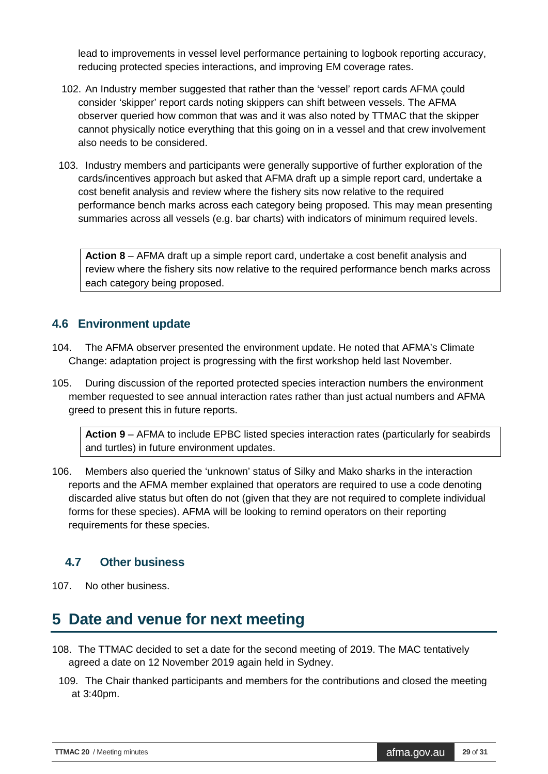lead to improvements in vessel level performance pertaining to logbook reporting accuracy, reducing protected species interactions, and improving EM coverage rates.

- 102. An Industry member suggested that rather than the 'vessel' report cards AFMA çould consider 'skipper' report cards noting skippers can shift between vessels. The AFMA observer queried how common that was and it was also noted by TTMAC that the skipper cannot physically notice everything that this going on in a vessel and that crew involvement also needs to be considered.
- 103. Industry members and participants were generally supportive of further exploration of the cards/incentives approach but asked that AFMA draft up a simple report card, undertake a cost benefit analysis and review where the fishery sits now relative to the required performance bench marks across each category being proposed. This may mean presenting summaries across all vessels (e.g. bar charts) with indicators of minimum required levels.

**Action 8** – AFMA draft up a simple report card, undertake a cost benefit analysis and review where the fishery sits now relative to the required performance bench marks across each category being proposed.

## **4.6 Environment update**

- 104. The AFMA observer presented the environment update. He noted that AFMA's Climate Change: adaptation project is progressing with the first workshop held last November.
- 105. During discussion of the reported protected species interaction numbers the environment member requested to see annual interaction rates rather than just actual numbers and AFMA greed to present this in future reports.

**Action 9** – AFMA to include EPBC listed species interaction rates (particularly for seabirds and turtles) in future environment updates.

106. Members also queried the 'unknown' status of Silky and Mako sharks in the interaction reports and the AFMA member explained that operators are required to use a code denoting discarded alive status but often do not (given that they are not required to complete individual forms for these species). AFMA will be looking to remind operators on their reporting requirements for these species.

## **4.7 Other business**

107. No other business.

## <span id="page-28-0"></span>**5 Date and venue for next meeting**

- 108. The TTMAC decided to set a date for the second meeting of 2019. The MAC tentatively agreed a date on 12 November 2019 again held in Sydney.
	- 109. The Chair thanked participants and members for the contributions and closed the meeting at 3:40pm.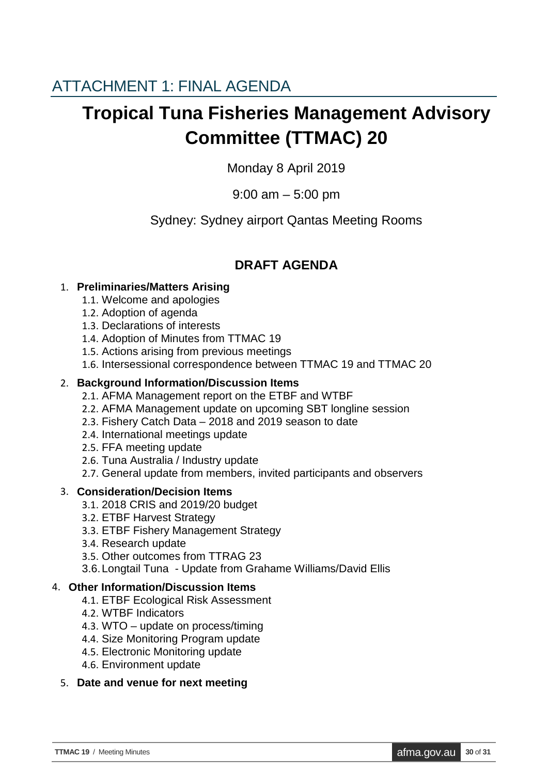# <span id="page-29-0"></span>**Tropical Tuna Fisheries Management Advisory Committee (TTMAC) 20**

Monday 8 April 2019

9:00 am – 5:00 pm

Sydney: Sydney airport Qantas Meeting Rooms

## **DRAFT AGENDA**

## 1. **Preliminaries/Matters Arising**

- 1.1. Welcome and apologies
- 1.2. Adoption of agenda
- 1.3. Declarations of interests
- 1.4. Adoption of Minutes from TTMAC 19
- 1.5. Actions arising from previous meetings
- 1.6. Intersessional correspondence between TTMAC 19 and TTMAC 20

#### 2. **Background Information/Discussion Items**

- 2.1. AFMA Management report on the ETBF and WTBF
- 2.2. AFMA Management update on upcoming SBT longline session
- 2.3. Fishery Catch Data 2018 and 2019 season to date
- 2.4. International meetings update
- 2.5. FFA meeting update
- 2.6. Tuna Australia / Industry update
- 2.7. General update from members, invited participants and observers

## 3. **Consideration/Decision Items**

- 3.1. 2018 CRIS and 2019/20 budget
- 3.2. ETBF Harvest Strategy
- 3.3. ETBF Fishery Management Strategy
- 3.4. Research update
- 3.5. Other outcomes from TTRAG 23
- 3.6.Longtail Tuna Update from Grahame Williams/David Ellis

## 4. **Other Information/Discussion Items**

- 4.1. ETBF Ecological Risk Assessment
- 4.2. WTBF Indicators
- 4.3. WTO update on process/timing
- 4.4. Size Monitoring Program update
- 4.5. Electronic Monitoring update
- 4.6. Environment update

#### 5. **Date and venue for next meeting**